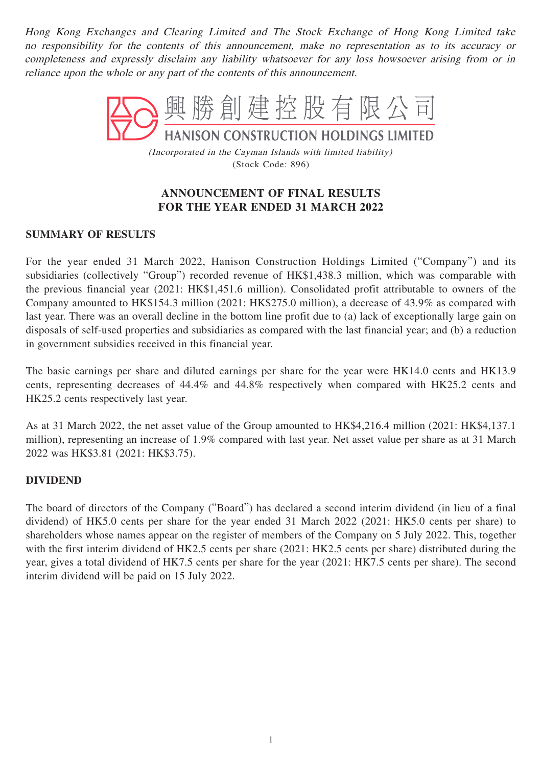Hong Kong Exchanges and Clearing Limited and The Stock Exchange of Hong Kong Limited take no responsibility for the contents of this announcement, make no representation as to its accuracy or completeness and expressly disclaim any liability whatsoever for any loss howsoever arising from or in reliance upon the whole or any part of the contents of this announcement.



(Incorporated in the Cayman Islands with limited liability) (Stock Code: 896)

## **ANNOUNCEMENT OF FINAL RESULTS FOR THE YEAR ENDED 31 MARCH 2022**

## **SUMMARY OF RESULTS**

For the year ended 31 March 2022, Hanison Construction Holdings Limited ("Company") and its subsidiaries (collectively "Group") recorded revenue of HK\$1,438.3 million, which was comparable with the previous financial year (2021: HK\$1,451.6 million). Consolidated profit attributable to owners of the Company amounted to HK\$154.3 million (2021: HK\$275.0 million), a decrease of 43.9% as compared with last year. There was an overall decline in the bottom line profit due to (a) lack of exceptionally large gain on disposals of self-used properties and subsidiaries as compared with the last financial year; and (b) a reduction in government subsidies received in this financial year.

The basic earnings per share and diluted earnings per share for the year were HK14.0 cents and HK13.9 cents, representing decreases of 44.4% and 44.8% respectively when compared with HK25.2 cents and HK25.2 cents respectively last year.

As at 31 March 2022, the net asset value of the Group amounted to HK\$4,216.4 million (2021: HK\$4,137.1 million), representing an increase of 1.9% compared with last year. Net asset value per share as at 31 March 2022 was HK\$3.81 (2021: HK\$3.75).

## **DIVIDEND**

The board of directors of the Company ("Board") has declared a second interim dividend (in lieu of a final dividend) of HK5.0 cents per share for the year ended 31 March 2022 (2021: HK5.0 cents per share) to shareholders whose names appear on the register of members of the Company on 5 July 2022. This, together with the first interim dividend of HK2.5 cents per share (2021: HK2.5 cents per share) distributed during the year, gives a total dividend of HK7.5 cents per share for the year (2021: HK7.5 cents per share). The second interim dividend will be paid on 15 July 2022.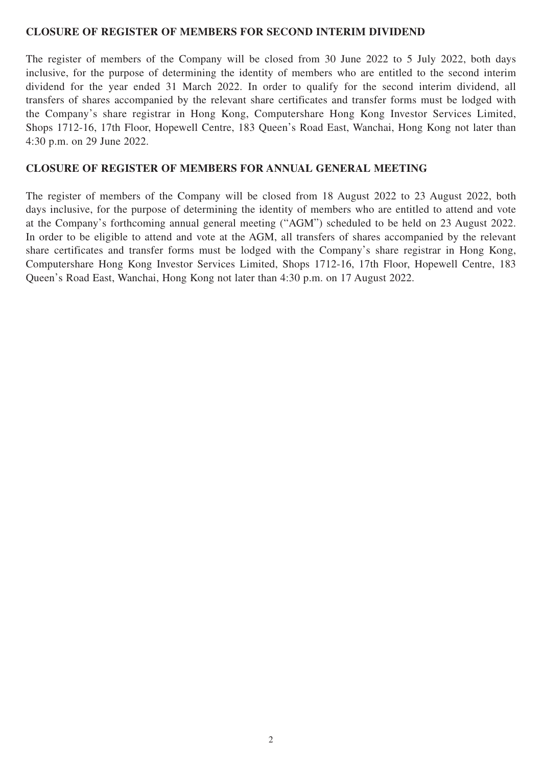#### **CLOSURE OF REGISTER OF MEMBERS FOR SECOND INTERIM DIVIDEND**

The register of members of the Company will be closed from 30 June 2022 to 5 July 2022, both days inclusive, for the purpose of determining the identity of members who are entitled to the second interim dividend for the year ended 31 March 2022. In order to qualify for the second interim dividend, all transfers of shares accompanied by the relevant share certificates and transfer forms must be lodged with the Company's share registrar in Hong Kong, Computershare Hong Kong Investor Services Limited, Shops 1712-16, 17th Floor, Hopewell Centre, 183 Queen's Road East, Wanchai, Hong Kong not later than 4:30 p.m. on 29 June 2022.

#### **CLOSURE OF REGISTER OF MEMBERS FOR ANNUAL GENERAL MEETING**

The register of members of the Company will be closed from 18 August 2022 to 23 August 2022, both days inclusive, for the purpose of determining the identity of members who are entitled to attend and vote at the Company's forthcoming annual general meeting ("AGM") scheduled to be held on 23 August 2022. In order to be eligible to attend and vote at the AGM, all transfers of shares accompanied by the relevant share certificates and transfer forms must be lodged with the Company's share registrar in Hong Kong, Computershare Hong Kong Investor Services Limited, Shops 1712-16, 17th Floor, Hopewell Centre, 183 Queen's Road East, Wanchai, Hong Kong not later than 4:30 p.m. on 17 August 2022.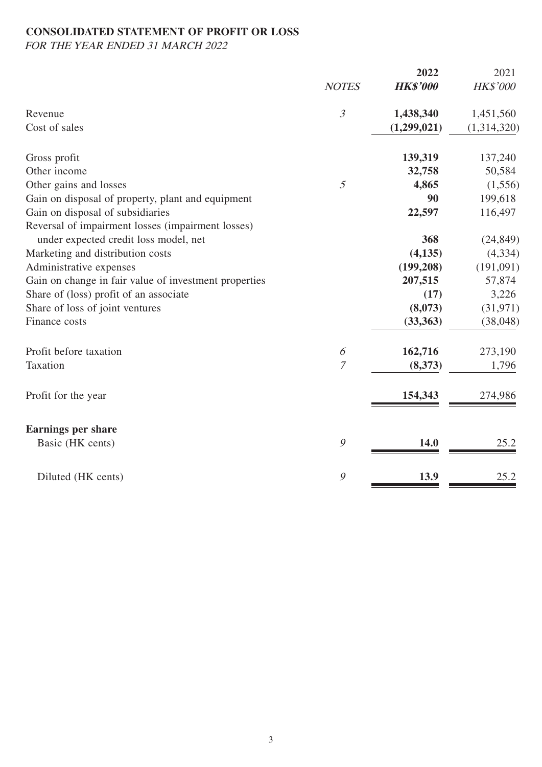## **CONSOLIDATED STATEMENT OF PROFIT OR LOSS**

FOR THE YEAR ENDED 31 MARCH 2022

|                                                       | <b>NOTES</b>   | 2022<br><b>HK\$'000</b> | 2021<br><b>HK\$'000</b> |
|-------------------------------------------------------|----------------|-------------------------|-------------------------|
| Revenue                                               | $\mathfrak{Z}$ | 1,438,340               | 1,451,560               |
| Cost of sales                                         |                | (1,299,021)             | (1,314,320)             |
| Gross profit                                          |                | 139,319                 | 137,240                 |
| Other income                                          |                | 32,758                  | 50,584                  |
| Other gains and losses                                | 5              | 4,865                   | (1,556)                 |
| Gain on disposal of property, plant and equipment     |                | 90                      | 199,618                 |
| Gain on disposal of subsidiaries                      |                | 22,597                  | 116,497                 |
| Reversal of impairment losses (impairment losses)     |                |                         |                         |
| under expected credit loss model, net                 |                | 368                     | (24, 849)               |
| Marketing and distribution costs                      |                | (4, 135)                | (4, 334)                |
| Administrative expenses                               |                | (199, 208)              | (191,091)               |
| Gain on change in fair value of investment properties |                | 207,515                 | 57,874                  |
| Share of (loss) profit of an associate                |                | (17)                    | 3,226                   |
| Share of loss of joint ventures                       |                | (8,073)                 | (31, 971)               |
| Finance costs                                         |                | (33, 363)               | (38, 048)               |
| Profit before taxation                                | 6              | 162,716                 | 273,190                 |
| Taxation                                              | $\overline{7}$ | (8,373)                 | 1,796                   |
| Profit for the year                                   |                | 154,343                 | 274,986                 |
| <b>Earnings per share</b>                             |                |                         |                         |
| Basic (HK cents)                                      | $\mathcal{G}$  | 14.0                    | 25.2                    |
| Diluted (HK cents)                                    | 9              | 13.9                    | 25.2                    |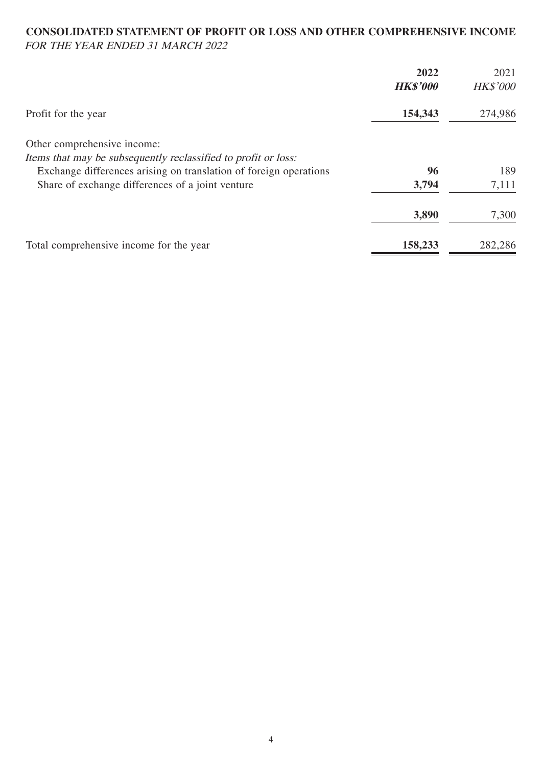#### **CONSOLIDATED STATEMENT OF PROFIT OR LOSS AND OTHER COMPREHENSIVE INCOME** FOR THE YEAR ENDED 31 MARCH 2022

|                                                                   | 2022<br><b>HK\$'000</b> | 2021<br><b>HK\$'000</b> |
|-------------------------------------------------------------------|-------------------------|-------------------------|
| Profit for the year                                               | 154,343                 | 274,986                 |
| Other comprehensive income:                                       |                         |                         |
| Items that may be subsequently reclassified to profit or loss:    |                         |                         |
| Exchange differences arising on translation of foreign operations | 96                      | 189                     |
| Share of exchange differences of a joint venture                  | 3,794                   | 7,111                   |
|                                                                   | 3,890                   | 7,300                   |
| Total comprehensive income for the year                           | 158,233                 | 282,286                 |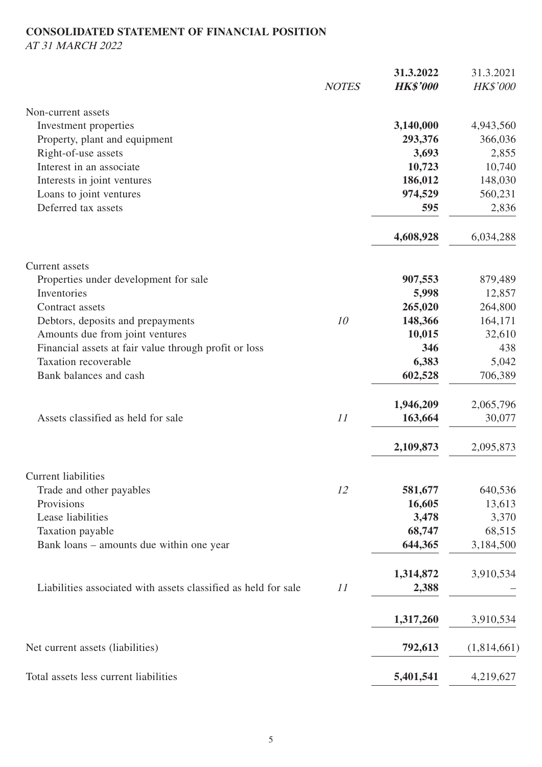# **CONSOLIDATED STATEMENT OF FINANCIAL POSITION**

AT 31 MARCH 2022

|                                                                |              | 31.3.2022       | 31.3.2021   |
|----------------------------------------------------------------|--------------|-----------------|-------------|
|                                                                | <b>NOTES</b> | <b>HK\$'000</b> | HK\$'000    |
| Non-current assets                                             |              |                 |             |
| Investment properties                                          |              | 3,140,000       | 4,943,560   |
| Property, plant and equipment                                  |              | 293,376         | 366,036     |
| Right-of-use assets                                            |              | 3,693           | 2,855       |
| Interest in an associate                                       |              | 10,723          | 10,740      |
| Interests in joint ventures                                    |              | 186,012         | 148,030     |
| Loans to joint ventures                                        |              | 974,529         | 560,231     |
| Deferred tax assets                                            |              | 595             | 2,836       |
|                                                                |              | 4,608,928       | 6,034,288   |
| <b>Current</b> assets                                          |              |                 |             |
| Properties under development for sale                          |              | 907,553         | 879,489     |
| Inventories                                                    |              | 5,998           | 12,857      |
| Contract assets                                                |              | 265,020         | 264,800     |
| Debtors, deposits and prepayments                              | 10           | 148,366         | 164,171     |
| Amounts due from joint ventures                                |              | 10,015          | 32,610      |
| Financial assets at fair value through profit or loss          |              | 346             | 438         |
| <b>Taxation recoverable</b>                                    |              | 6,383           | 5,042       |
| Bank balances and cash                                         |              | 602,528         | 706,389     |
|                                                                |              | 1,946,209       | 2,065,796   |
| Assets classified as held for sale                             | 11           | 163,664         | 30,077      |
|                                                                |              | 2,109,873       | 2,095,873   |
| Current liabilities                                            |              |                 |             |
| Trade and other payables                                       | 12           | 581,677         | 640,536     |
| Provisions                                                     |              | 16,605          | 13,613      |
| Lease liabilities                                              |              | 3,478           | 3,370       |
| Taxation payable                                               |              | 68,747          | 68,515      |
| Bank loans – amounts due within one year                       |              | 644,365         | 3,184,500   |
|                                                                |              | 1,314,872       | 3,910,534   |
| Liabilities associated with assets classified as held for sale | 11           | 2,388           |             |
|                                                                |              | 1,317,260       | 3,910,534   |
| Net current assets (liabilities)                               |              | 792,613         | (1,814,661) |
| Total assets less current liabilities                          |              | 5,401,541       | 4,219,627   |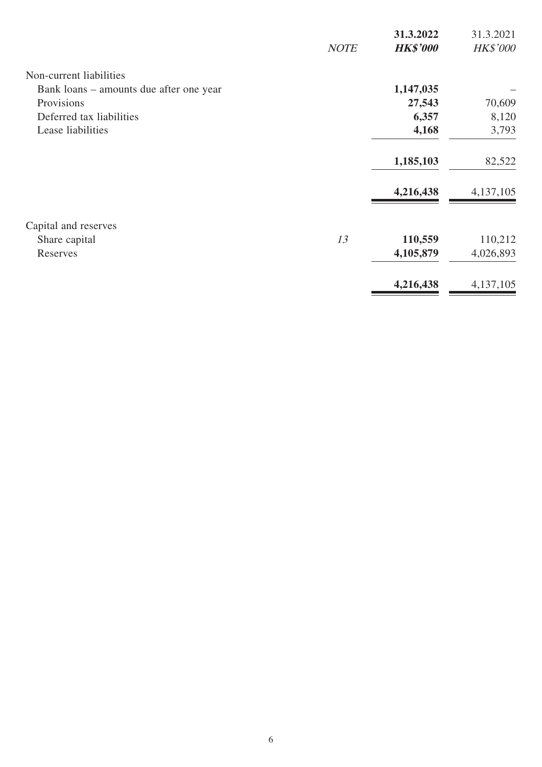|                                         |             | 31.3.2022       | 31.3.2021       |
|-----------------------------------------|-------------|-----------------|-----------------|
|                                         | <b>NOTE</b> | <b>HK\$'000</b> | <b>HK\$'000</b> |
| Non-current liabilities                 |             |                 |                 |
| Bank loans – amounts due after one year |             | 1,147,035       |                 |
| Provisions                              |             | 27,543          | 70,609          |
| Deferred tax liabilities                |             | 6,357           | 8,120           |
| Lease liabilities                       |             | 4,168           | 3,793           |
|                                         |             | 1,185,103       | 82,522          |
|                                         |             | 4,216,438       | 4,137,105       |
| Capital and reserves                    |             |                 |                 |
| Share capital                           | 13          | 110,559         | 110,212         |
| Reserves                                |             | 4,105,879       | 4,026,893       |
|                                         |             | 4,216,438       | 4,137,105       |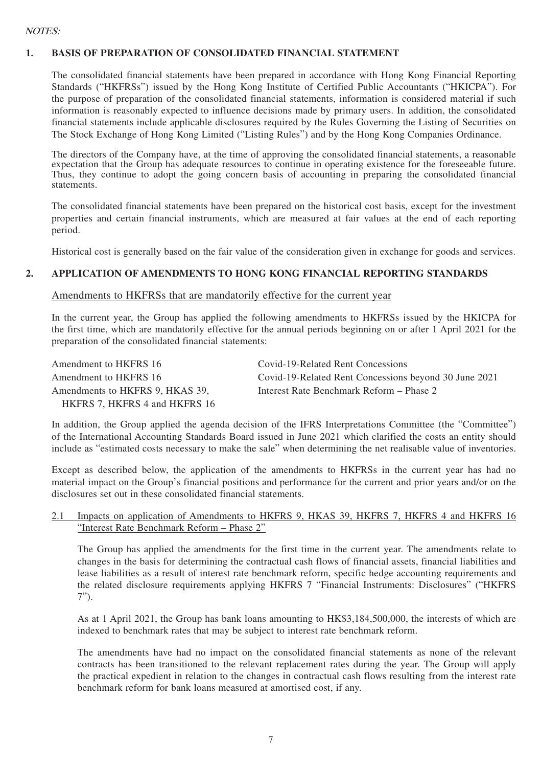#### NOTES:

#### **1. BASIS OF PREPARATION OF CONSOLIDATED FINANCIAL STATEMENT**

The consolidated financial statements have been prepared in accordance with Hong Kong Financial Reporting Standards ("HKFRSs") issued by the Hong Kong Institute of Certified Public Accountants ("HKICPA"). For the purpose of preparation of the consolidated financial statements, information is considered material if such information is reasonably expected to influence decisions made by primary users. In addition, the consolidated financial statements include applicable disclosures required by the Rules Governing the Listing of Securities on The Stock Exchange of Hong Kong Limited ("Listing Rules") and by the Hong Kong Companies Ordinance.

The directors of the Company have, at the time of approving the consolidated financial statements, a reasonable expectation that the Group has adequate resources to continue in operating existence for the foreseeable future. Thus, they continue to adopt the going concern basis of accounting in preparing the consolidated financial statements.

The consolidated financial statements have been prepared on the historical cost basis, except for the investment properties and certain financial instruments, which are measured at fair values at the end of each reporting period.

Historical cost is generally based on the fair value of the consideration given in exchange for goods and services.

#### **2. APPLICATION OF AMENDMENTS TO HONG KONG FINANCIAL REPORTING STANDARDS**

#### Amendments to HKFRSs that are mandatorily effective for the current year

In the current year, the Group has applied the following amendments to HKFRSs issued by the HKICPA for the first time, which are mandatorily effective for the annual periods beginning on or after 1 April 2021 for the preparation of the consolidated financial statements:

| Amendment to HKFRS 16           | Covid-19-Related Rent Concessions                     |
|---------------------------------|-------------------------------------------------------|
| Amendment to HKFRS 16           | Covid-19-Related Rent Concessions beyond 30 June 2021 |
| Amendments to HKFRS 9, HKAS 39, | Interest Rate Benchmark Reform – Phase 2              |
| HKFRS 7, HKFRS 4 and HKFRS 16   |                                                       |

In addition, the Group applied the agenda decision of the IFRS Interpretations Committee (the "Committee") of the International Accounting Standards Board issued in June 2021 which clarified the costs an entity should include as "estimated costs necessary to make the sale" when determining the net realisable value of inventories.

Except as described below, the application of the amendments to HKFRSs in the current year has had no material impact on the Group's financial positions and performance for the current and prior years and/or on the disclosures set out in these consolidated financial statements.

#### 2.1 Impacts on application of Amendments to HKFRS 9, HKAS 39, HKFRS 7, HKFRS 4 and HKFRS 16 "Interest Rate Benchmark Reform – Phase 2"

The Group has applied the amendments for the first time in the current year. The amendments relate to changes in the basis for determining the contractual cash flows of financial assets, financial liabilities and lease liabilities as a result of interest rate benchmark reform, specific hedge accounting requirements and the related disclosure requirements applying HKFRS 7 "Financial Instruments: Disclosures" ("HKFRS 7").

As at 1 April 2021, the Group has bank loans amounting to HK\$3,184,500,000, the interests of which are indexed to benchmark rates that may be subject to interest rate benchmark reform.

The amendments have had no impact on the consolidated financial statements as none of the relevant contracts has been transitioned to the relevant replacement rates during the year. The Group will apply the practical expedient in relation to the changes in contractual cash flows resulting from the interest rate benchmark reform for bank loans measured at amortised cost, if any.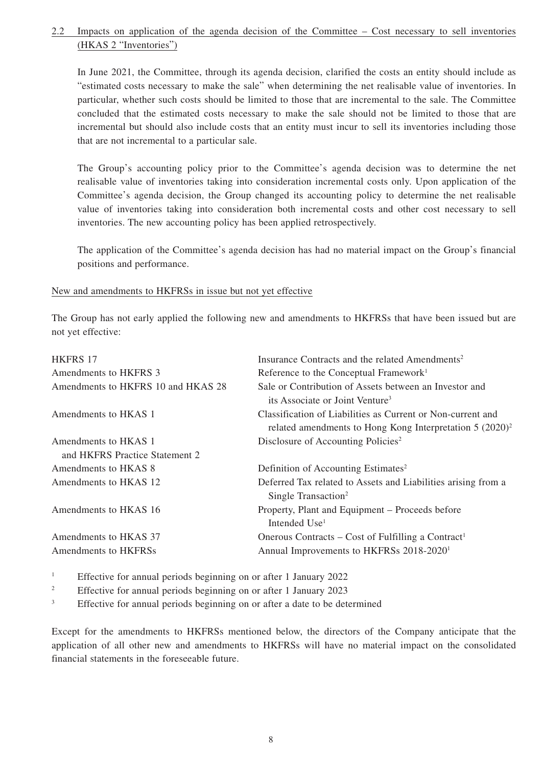#### 2.2 Impacts on application of the agenda decision of the Committee – Cost necessary to sell inventories (HKAS 2 "Inventories")

In June 2021, the Committee, through its agenda decision, clarified the costs an entity should include as "estimated costs necessary to make the sale" when determining the net realisable value of inventories. In particular, whether such costs should be limited to those that are incremental to the sale. The Committee concluded that the estimated costs necessary to make the sale should not be limited to those that are incremental but should also include costs that an entity must incur to sell its inventories including those that are not incremental to a particular sale.

The Group's accounting policy prior to the Committee's agenda decision was to determine the net realisable value of inventories taking into consideration incremental costs only. Upon application of the Committee's agenda decision, the Group changed its accounting policy to determine the net realisable value of inventories taking into consideration both incremental costs and other cost necessary to sell inventories. The new accounting policy has been applied retrospectively.

The application of the Committee's agenda decision has had no material impact on the Group's financial positions and performance.

#### New and amendments to HKFRSs in issue but not yet effective

The Group has not early applied the following new and amendments to HKFRSs that have been issued but are not yet effective:

| <b>HKFRS 17</b>                    | Insurance Contracts and the related Amendments <sup>2</sup>                                                                |
|------------------------------------|----------------------------------------------------------------------------------------------------------------------------|
| Amendments to HKFRS 3              | Reference to the Conceptual Framework <sup>1</sup>                                                                         |
| Amendments to HKFRS 10 and HKAS 28 | Sale or Contribution of Assets between an Investor and<br>its Associate or Joint Venture <sup>3</sup>                      |
| Amendments to HKAS 1               | Classification of Liabilities as Current or Non-current and<br>related amendments to Hong Kong Interpretation $5 (2020)^2$ |
| Amendments to HKAS 1               | Disclosure of Accounting Policies <sup>2</sup>                                                                             |
| and HKFRS Practice Statement 2     |                                                                                                                            |
| Amendments to HKAS 8               | Definition of Accounting Estimates <sup>2</sup>                                                                            |
| Amendments to HKAS 12              | Deferred Tax related to Assets and Liabilities arising from a<br>Single Transaction <sup>2</sup>                           |
| Amendments to HKAS 16              | Property, Plant and Equipment – Proceeds before<br>Intended Use <sup>1</sup>                                               |
| Amendments to HKAS 37              | Onerous Contracts – Cost of Fulfilling a Contract <sup>1</sup>                                                             |
| Amendments to HKFRSs               | Annual Improvements to HKFRSs 2018-2020 <sup>1</sup>                                                                       |

1 Effective for annual periods beginning on or after 1 January 2022

 $\overline{2}$ Effective for annual periods beginning on or after 1 January 2023

3 Effective for annual periods beginning on or after a date to be determined

Except for the amendments to HKFRSs mentioned below, the directors of the Company anticipate that the application of all other new and amendments to HKFRSs will have no material impact on the consolidated financial statements in the foreseeable future.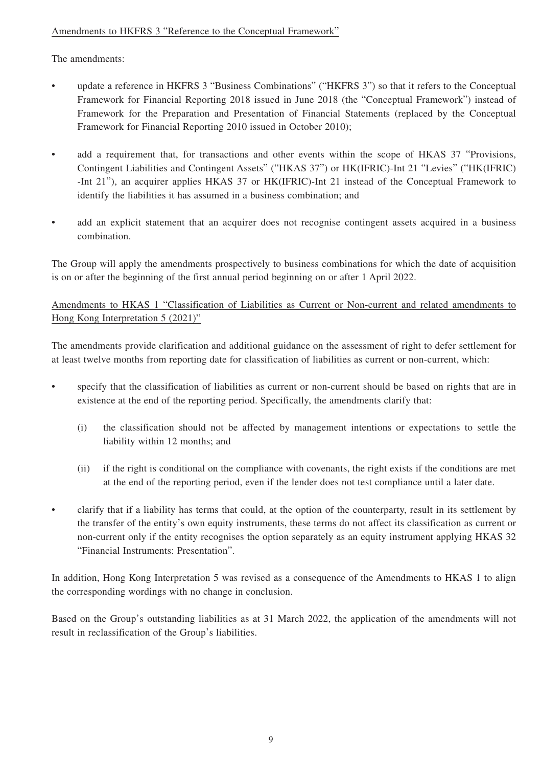## Amendments to HKFRS 3 "Reference to the Conceptual Framework"

The amendments:

- update a reference in HKFRS 3 "Business Combinations" ("HKFRS 3") so that it refers to the Conceptual Framework for Financial Reporting 2018 issued in June 2018 (the "Conceptual Framework") instead of Framework for the Preparation and Presentation of Financial Statements (replaced by the Conceptual Framework for Financial Reporting 2010 issued in October 2010);
- add a requirement that, for transactions and other events within the scope of HKAS 37 "Provisions, Contingent Liabilities and Contingent Assets" ("HKAS 37") or HK(IFRIC)-Int 21 "Levies" ("HK(IFRIC) -Int 21"), an acquirer applies HKAS 37 or HK(IFRIC)-Int 21 instead of the Conceptual Framework to identify the liabilities it has assumed in a business combination; and
- add an explicit statement that an acquirer does not recognise contingent assets acquired in a business combination.

The Group will apply the amendments prospectively to business combinations for which the date of acquisition is on or after the beginning of the first annual period beginning on or after 1 April 2022.

Amendments to HKAS 1 "Classification of Liabilities as Current or Non-current and related amendments to Hong Kong Interpretation 5 (2021)"

The amendments provide clarification and additional guidance on the assessment of right to defer settlement for at least twelve months from reporting date for classification of liabilities as current or non-current, which:

- specify that the classification of liabilities as current or non-current should be based on rights that are in existence at the end of the reporting period. Specifically, the amendments clarify that:
	- (i) the classification should not be affected by management intentions or expectations to settle the liability within 12 months; and
	- (ii) if the right is conditional on the compliance with covenants, the right exists if the conditions are met at the end of the reporting period, even if the lender does not test compliance until a later date.
- clarify that if a liability has terms that could, at the option of the counterparty, result in its settlement by the transfer of the entity's own equity instruments, these terms do not affect its classification as current or non-current only if the entity recognises the option separately as an equity instrument applying HKAS 32 "Financial Instruments: Presentation".

In addition, Hong Kong Interpretation 5 was revised as a consequence of the Amendments to HKAS 1 to align the corresponding wordings with no change in conclusion.

Based on the Group's outstanding liabilities as at 31 March 2022, the application of the amendments will not result in reclassification of the Group's liabilities.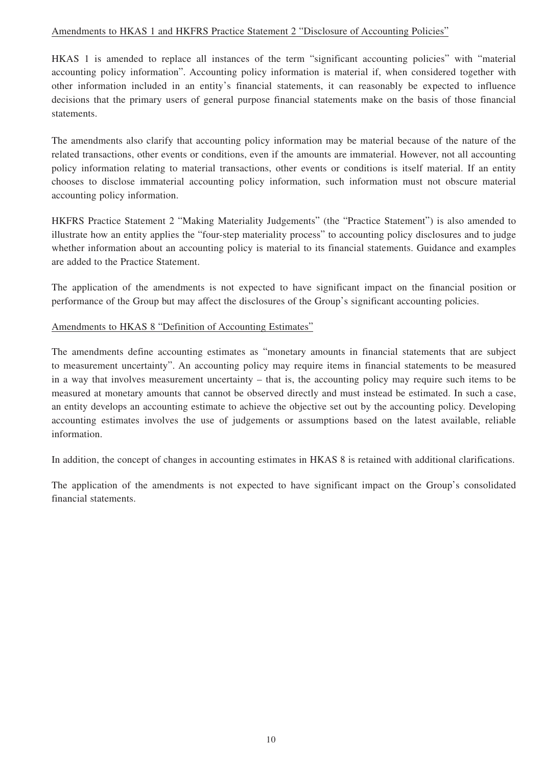#### Amendments to HKAS 1 and HKFRS Practice Statement 2 "Disclosure of Accounting Policies"

HKAS 1 is amended to replace all instances of the term "significant accounting policies" with "material accounting policy information". Accounting policy information is material if, when considered together with other information included in an entity's financial statements, it can reasonably be expected to influence decisions that the primary users of general purpose financial statements make on the basis of those financial statements.

The amendments also clarify that accounting policy information may be material because of the nature of the related transactions, other events or conditions, even if the amounts are immaterial. However, not all accounting policy information relating to material transactions, other events or conditions is itself material. If an entity chooses to disclose immaterial accounting policy information, such information must not obscure material accounting policy information.

HKFRS Practice Statement 2 "Making Materiality Judgements" (the "Practice Statement") is also amended to illustrate how an entity applies the "four-step materiality process" to accounting policy disclosures and to judge whether information about an accounting policy is material to its financial statements. Guidance and examples are added to the Practice Statement.

The application of the amendments is not expected to have significant impact on the financial position or performance of the Group but may affect the disclosures of the Group's significant accounting policies.

#### Amendments to HKAS 8 "Definition of Accounting Estimates"

The amendments define accounting estimates as "monetary amounts in financial statements that are subject to measurement uncertainty". An accounting policy may require items in financial statements to be measured in a way that involves measurement uncertainty – that is, the accounting policy may require such items to be measured at monetary amounts that cannot be observed directly and must instead be estimated. In such a case, an entity develops an accounting estimate to achieve the objective set out by the accounting policy. Developing accounting estimates involves the use of judgements or assumptions based on the latest available, reliable information.

In addition, the concept of changes in accounting estimates in HKAS 8 is retained with additional clarifications.

The application of the amendments is not expected to have significant impact on the Group's consolidated financial statements.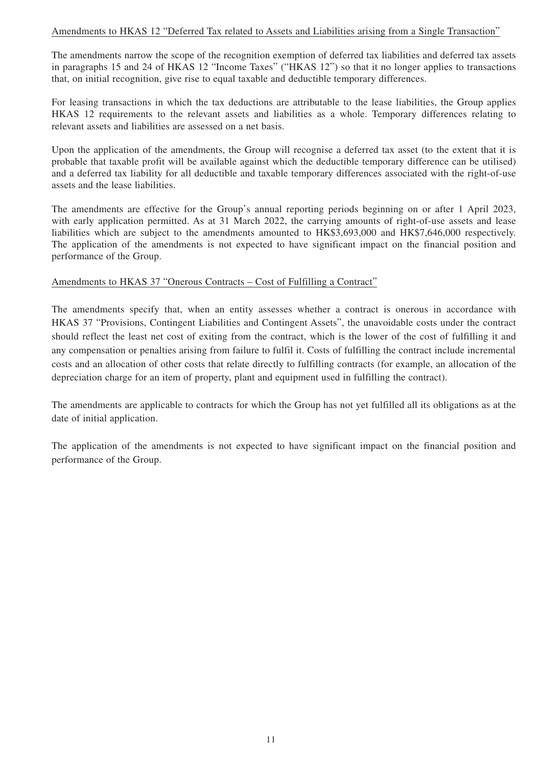#### Amendments to HKAS 12 "Deferred Tax related to Assets and Liabilities arising from a Single Transaction"

The amendments narrow the scope of the recognition exemption of deferred tax liabilities and deferred tax assets in paragraphs 15 and 24 of HKAS 12 "Income Taxes" ("HKAS 12") so that it no longer applies to transactions that, on initial recognition, give rise to equal taxable and deductible temporary differences.

For leasing transactions in which the tax deductions are attributable to the lease liabilities, the Group applies HKAS 12 requirements to the relevant assets and liabilities as a whole. Temporary differences relating to relevant assets and liabilities are assessed on a net basis.

Upon the application of the amendments, the Group will recognise a deferred tax asset (to the extent that it is probable that taxable profit will be available against which the deductible temporary difference can be utilised) and a deferred tax liability for all deductible and taxable temporary differences associated with the right-of-use assets and the lease liabilities.

The amendments are effective for the Group's annual reporting periods beginning on or after 1 April 2023, with early application permitted. As at 31 March 2022, the carrying amounts of right-of-use assets and lease liabilities which are subject to the amendments amounted to HK\$3,693,000 and HK\$7,646,000 respectively. The application of the amendments is not expected to have significant impact on the financial position and performance of the Group.

#### Amendments to HKAS 37 "Onerous Contracts – Cost of Fulfilling a Contract"

The amendments specify that, when an entity assesses whether a contract is onerous in accordance with HKAS 37 "Provisions, Contingent Liabilities and Contingent Assets", the unavoidable costs under the contract should reflect the least net cost of exiting from the contract, which is the lower of the cost of fulfilling it and any compensation or penalties arising from failure to fulfil it. Costs of fulfilling the contract include incremental costs and an allocation of other costs that relate directly to fulfilling contracts (for example, an allocation of the depreciation charge for an item of property, plant and equipment used in fulfilling the contract).

The amendments are applicable to contracts for which the Group has not yet fulfilled all its obligations as at the date of initial application.

The application of the amendments is not expected to have significant impact on the financial position and performance of the Group.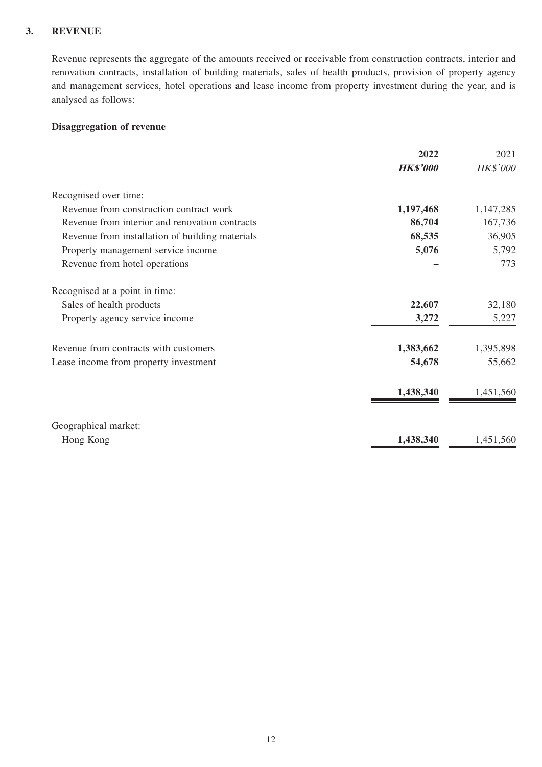#### **3. REVENUE**

Revenue represents the aggregate of the amounts received or receivable from construction contracts, interior and renovation contracts, installation of building materials, sales of health products, provision of property agency and management services, hotel operations and lease income from property investment during the year, and is analysed as follows:

#### **Disaggregation of revenue**

|                                                 | 2022            | 2021            |
|-------------------------------------------------|-----------------|-----------------|
|                                                 | <b>HK\$'000</b> | <b>HK\$'000</b> |
| Recognised over time:                           |                 |                 |
| Revenue from construction contract work         | 1,197,468       | 1,147,285       |
| Revenue from interior and renovation contracts  | 86,704          | 167,736         |
| Revenue from installation of building materials | 68,535          | 36,905          |
| Property management service income              | 5,076           | 5,792           |
| Revenue from hotel operations                   |                 | 773             |
| Recognised at a point in time:                  |                 |                 |
| Sales of health products                        | 22,607          | 32,180          |
| Property agency service income                  | 3,272           | 5,227           |
| Revenue from contracts with customers           | 1,383,662       | 1,395,898       |
| Lease income from property investment           | 54,678          | 55,662          |
|                                                 | 1,438,340       | 1,451,560       |
| Geographical market:                            |                 |                 |
| Hong Kong                                       | 1,438,340       | 1,451,560       |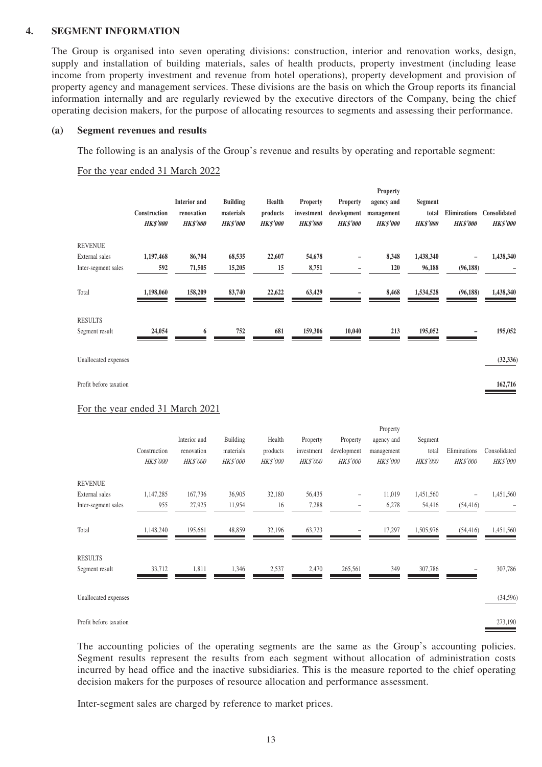#### **4. SEGMENT INFORMATION**

The Group is organised into seven operating divisions: construction, interior and renovation works, design, supply and installation of building materials, sales of health products, property investment (including lease income from property investment and revenue from hotel operations), property development and provision of property agency and management services. These divisions are the basis on which the Group reports its financial information internally and are regularly reviewed by the executive directors of the Company, being the chief operating decision makers, for the purpose of allocating resources to segments and assessing their performance.

#### **(a) Segment revenues and results**

The following is an analysis of the Group's revenue and results by operating and reportable segment:

For the year ended 31 March 2022

|                                         | Construction<br><b>HK\$'000</b> | <b>Interior</b> and<br>renovation<br><b>HK\$'000</b> | <b>Building</b><br>materials<br><b>HK\$'000</b> | Health<br>products<br><b>HK\$'000</b> | Property<br>investment<br><b>HK\$'000</b> | Property<br>development<br><b>HK\$'000</b> | Property<br>agency and<br>management<br><b>HK\$'000</b> | <b>Segment</b><br>total<br><b>HK\$'000</b> | <b>Eliminations</b><br><b>HK\$'000</b> | Consolidated<br><b>HK\$'000</b> |
|-----------------------------------------|---------------------------------|------------------------------------------------------|-------------------------------------------------|---------------------------------------|-------------------------------------------|--------------------------------------------|---------------------------------------------------------|--------------------------------------------|----------------------------------------|---------------------------------|
| <b>REVENUE</b><br><b>External</b> sales | 1,197,468                       | 86,704                                               | 68,535                                          | 22,607                                | 54,678                                    |                                            | 8,348                                                   | 1,438,340                                  |                                        | 1,438,340                       |
| Inter-segment sales                     | 592                             | 71,505                                               | 15,205                                          | 15                                    | 8,751                                     |                                            | 120                                                     | 96,188                                     | (96, 188)                              |                                 |
| Total                                   | 1,198,060                       | 158,209                                              | 83,740                                          | 22,622                                | 63,429                                    |                                            | 8,468                                                   | 1,534,528                                  | (96, 188)                              | 1,438,340                       |
| <b>RESULTS</b><br>Segment result        | 24,054                          | 6                                                    | 752                                             | 681                                   | 159,306                                   | 10,040                                     | 213                                                     | 195,052                                    |                                        | 195,052                         |
|                                         |                                 |                                                      |                                                 |                                       |                                           |                                            |                                                         |                                            |                                        |                                 |
| Unallocated expenses                    |                                 |                                                      |                                                 |                                       |                                           |                                            |                                                         |                                            |                                        | (32, 336)                       |
| Profit before taxation                  |                                 |                                                      |                                                 |                                       |                                           |                                            |                                                         |                                            |                                        | 162,716                         |
| For the year ended 31 March 2021        |                                 |                                                      |                                                 |                                       |                                           |                                            |                                                         |                                            |                                        |                                 |
|                                         | Construction<br>HK\$'000        | Interior and<br>renovation<br>HK\$'000               | Building<br>materials<br>HK\$'000               | Health<br>products<br>HK\$'000        | Property<br>investment<br>HK\$'000        | Property<br>development<br><b>HK\$'000</b> | Property<br>agency and<br>management<br>HK\$'000        | Segment<br>total<br>HK\$'000               | Eliminations<br>HK\$'000               | Consolidated<br>HK\$'000        |
| <b>REVENUE</b>                          |                                 |                                                      |                                                 |                                       |                                           |                                            |                                                         |                                            |                                        |                                 |
| External sales<br>Inter-segment sales   | 1,147,285<br>955                | 167,736<br>27,925                                    | 36,905<br>11,954                                | 32,180<br>16                          | 56,435<br>7,288                           | $\overline{a}$                             | 11,019<br>6,278                                         | 1,451,560<br>54,416                        | $\overline{a}$<br>(54, 416)            | 1,451,560                       |
| Total                                   | 1,148,240                       | 195,661                                              | 48,859                                          | 32,196                                | 63,723                                    |                                            | 17,297                                                  | 1,505,976                                  | (54, 416)                              | 1,451,560                       |
| <b>RESULTS</b>                          |                                 |                                                      |                                                 |                                       |                                           |                                            |                                                         |                                            |                                        |                                 |
| Segment result                          | 33,712                          | 1,811                                                | 1,346                                           | 2,537                                 | 2,470                                     | 265,561                                    | 349                                                     | 307,786                                    |                                        | 307,786                         |
| Unallocated expenses                    |                                 |                                                      |                                                 |                                       |                                           |                                            |                                                         |                                            |                                        | (34, 596)                       |
| Profit before taxation                  |                                 |                                                      |                                                 |                                       |                                           |                                            |                                                         |                                            |                                        | 273,190                         |

The accounting policies of the operating segments are the same as the Group's accounting policies. Segment results represent the results from each segment without allocation of administration costs incurred by head office and the inactive subsidiaries. This is the measure reported to the chief operating decision makers for the purposes of resource allocation and performance assessment.

Inter-segment sales are charged by reference to market prices.

13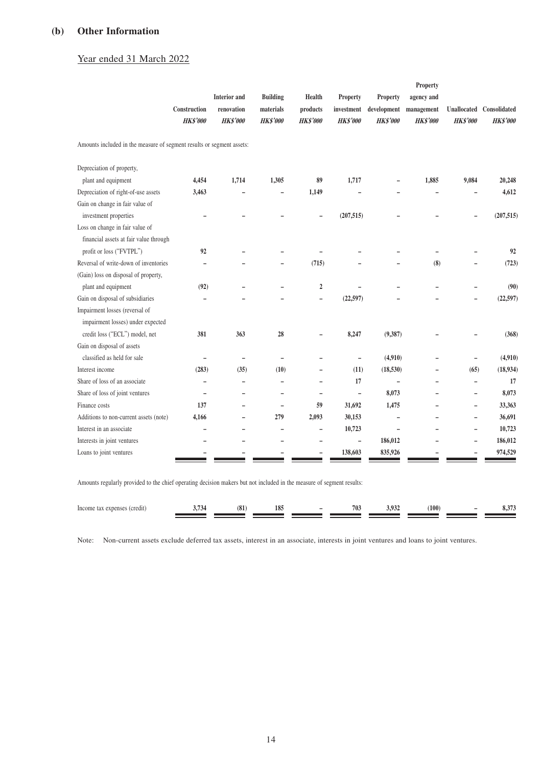#### **(b) Other Information**

## Year ended 31 March 2022

|                                                                       | Construction             | <b>Interior</b> and<br>renovation | <b>Building</b><br>materials | Health<br>products       | Property<br>investment   | Property<br>development  | Property<br>agency and<br>management | Unallocated              | Consolidated    |
|-----------------------------------------------------------------------|--------------------------|-----------------------------------|------------------------------|--------------------------|--------------------------|--------------------------|--------------------------------------|--------------------------|-----------------|
|                                                                       | <b>HK\$'000</b>          | <b>HK\$'000</b>                   | <b>HK\$'000</b>              | <b>HK\$'000</b>          | <b>HK\$'000</b>          | <b>HK\$'000</b>          | <b>HK\$'000</b>                      | <b>HK\$'000</b>          | <b>HK\$'000</b> |
| Amounts included in the measure of segment results or segment assets: |                          |                                   |                              |                          |                          |                          |                                      |                          |                 |
| Depreciation of property,                                             |                          |                                   |                              |                          |                          |                          |                                      |                          |                 |
| plant and equipment                                                   | 4,454                    | 1,714                             | 1,305                        | 89                       | 1,717                    |                          | 1,885                                | 9,084                    | 20,248          |
| Depreciation of right-of-use assets                                   | 3,463                    |                                   |                              | 1,149                    |                          |                          |                                      |                          | 4,612           |
| Gain on change in fair value of                                       |                          |                                   |                              |                          |                          |                          |                                      |                          |                 |
| investment properties                                                 | $\overline{\phantom{0}}$ |                                   |                              |                          | (207, 515)               |                          |                                      |                          | (207, 515)      |
| Loss on change in fair value of                                       |                          |                                   |                              |                          |                          |                          |                                      |                          |                 |
| financial assets at fair value through                                |                          |                                   |                              |                          |                          |                          |                                      |                          |                 |
| profit or loss ("FVTPL")                                              | 92                       |                                   |                              |                          |                          |                          |                                      |                          | 92              |
| Reversal of write-down of inventories                                 |                          |                                   |                              | (715)                    |                          |                          | (8)                                  |                          | (723)           |
| (Gain) loss on disposal of property,                                  |                          |                                   |                              |                          |                          |                          |                                      |                          |                 |
| plant and equipment                                                   | (92)                     |                                   | $\overline{\phantom{0}}$     | $\overline{2}$           |                          |                          |                                      | $\overline{\phantom{0}}$ | (90)            |
| Gain on disposal of subsidiaries                                      |                          |                                   |                              | $\overline{\phantom{0}}$ | (22,597)                 |                          |                                      | $\overline{a}$           | (22, 597)       |
| Impairment losses (reversal of                                        |                          |                                   |                              |                          |                          |                          |                                      |                          |                 |
| impairment losses) under expected                                     |                          |                                   |                              |                          |                          |                          |                                      |                          |                 |
| credit loss ("ECL") model, net                                        | 381                      | 363                               | 28                           |                          | 8,247                    | (9,387)                  |                                      |                          | (368)           |
| Gain on disposal of assets                                            |                          |                                   |                              |                          |                          |                          |                                      |                          |                 |
| classified as held for sale                                           | $\overline{\phantom{0}}$ | ۰                                 | $\qquad \qquad -$            |                          | $\qquad \qquad -$        | (4,910)                  |                                      | $\qquad \qquad -$        | (4,910)         |
| Interest income                                                       | (283)                    | (35)                              | (10)                         | $\overline{\phantom{0}}$ | (11)                     | (18, 530)                |                                      | (65)                     | (18,934)        |
| Share of loss of an associate                                         |                          |                                   | -                            | $\overline{\phantom{0}}$ | 17                       |                          |                                      | $\qquad \qquad -$        | 17              |
| Share of loss of joint ventures                                       | $\overline{\phantom{a}}$ |                                   | $\overline{\phantom{a}}$     | $\qquad \qquad -$        | $\overline{\phantom{0}}$ | 8,073                    |                                      | $\overline{\phantom{0}}$ | 8,073           |
| Finance costs                                                         | 137                      |                                   | $\overline{\phantom{0}}$     | 59                       | 31,692                   | 1,475                    |                                      | $\overline{\phantom{0}}$ | 33,363          |
| Additions to non-current assets (note)                                | 4,166                    | -                                 | 279                          | 2,093                    | 30,153                   | $\overline{a}$           | -                                    | $\overline{\phantom{0}}$ | 36,691          |
| Interest in an associate                                              | ۳                        |                                   | $\overline{\phantom{0}}$     | $\qquad \qquad -$        | 10,723                   | $\overline{\phantom{0}}$ |                                      | $\qquad \qquad -$        | 10,723          |
| Interests in joint ventures                                           |                          |                                   | $\overline{\phantom{0}}$     | $\overline{\phantom{0}}$ | $\overline{a}$           | 186,012                  |                                      | $\overline{a}$           | 186,012         |
| Loans to joint ventures                                               |                          |                                   |                              |                          | 138,603                  | 835,926                  |                                      |                          | 974,529         |

Amounts regularly provided to the chief operating decision makers but not included in the measure of segment results:

| Incom<br>a expense<br>10 U<br>. | (01)<br>10 <sub>h</sub> | 10 <sup>8</sup><br>105 | $\overline{\phantom{a}}$ | 703 | 10 <sup>2</sup><br>___ | (100) | $\overline{\phantom{a}}$ | ບູບ |
|---------------------------------|-------------------------|------------------------|--------------------------|-----|------------------------|-------|--------------------------|-----|
|                                 |                         |                        |                          |     |                        |       |                          |     |

Note: Non-current assets exclude deferred tax assets, interest in an associate, interests in joint ventures and loans to joint ventures.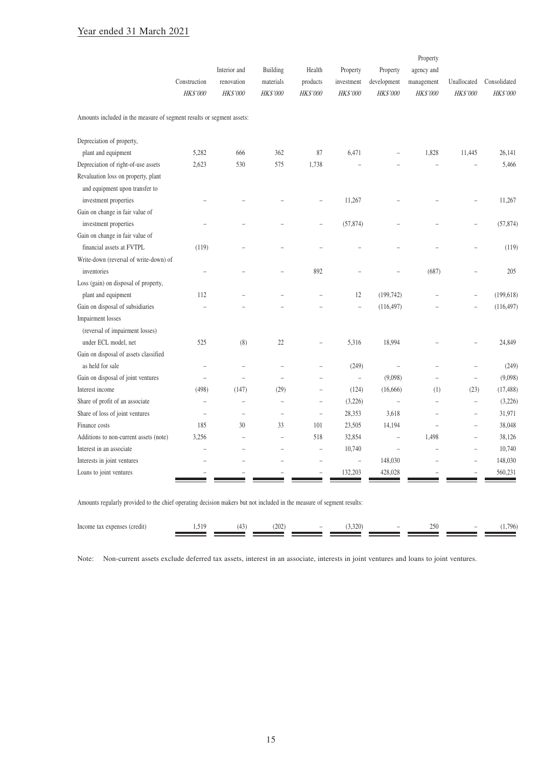## Year ended 31 March 2021

|                                                                       | Construction<br>HK\$'000 | Interior and<br>renovation<br><b>HK\$'000</b> | Building<br>materials<br>HK\$'000 | Health<br>products<br><b>HK\$'000</b> | Property<br>investment<br>HK\$'000 | Property<br>development<br><b>HK\$'000</b> | Property<br>agency and<br>management<br><b>HK\$'000</b> | Unallocated<br><b>HK\$'000</b> | Consolidated<br>HK\$'000 |
|-----------------------------------------------------------------------|--------------------------|-----------------------------------------------|-----------------------------------|---------------------------------------|------------------------------------|--------------------------------------------|---------------------------------------------------------|--------------------------------|--------------------------|
| Amounts included in the measure of segment results or segment assets: |                          |                                               |                                   |                                       |                                    |                                            |                                                         |                                |                          |
| Depreciation of property,                                             |                          |                                               |                                   |                                       |                                    |                                            |                                                         |                                |                          |
| plant and equipment                                                   | 5,282                    | 666                                           | 362                               | 87                                    | 6,471                              |                                            | 1,828                                                   | 11,445                         | 26,141                   |
| Depreciation of right-of-use assets                                   | 2,623                    | 530                                           | 575                               | 1,738                                 |                                    |                                            |                                                         |                                | 5,466                    |
| Revaluation loss on property, plant<br>and equipment upon transfer to |                          |                                               |                                   |                                       |                                    |                                            |                                                         |                                |                          |
| investment properties                                                 |                          |                                               |                                   |                                       | 11,267                             |                                            |                                                         |                                | 11,267                   |
| Gain on change in fair value of                                       |                          |                                               |                                   |                                       |                                    |                                            |                                                         |                                |                          |
| investment properties                                                 |                          |                                               |                                   | $\overline{\phantom{a}}$              | (57, 874)                          |                                            |                                                         |                                | (57, 874)                |
| Gain on change in fair value of                                       |                          |                                               |                                   |                                       |                                    |                                            |                                                         |                                |                          |
| financial assets at FVTPL                                             | (119)                    |                                               |                                   |                                       |                                    |                                            |                                                         |                                | (119)                    |
| Write-down (reversal of write-down) of                                |                          |                                               |                                   |                                       |                                    |                                            |                                                         |                                |                          |
| inventories                                                           |                          |                                               |                                   | 892                                   |                                    |                                            | (687)                                                   |                                | 205                      |
| Loss (gain) on disposal of property,                                  |                          |                                               |                                   |                                       |                                    |                                            |                                                         |                                |                          |
| plant and equipment                                                   | 112                      |                                               |                                   |                                       | 12                                 | (199, 742)                                 |                                                         | $\overline{\phantom{a}}$       | (199, 618)               |
| Gain on disposal of subsidiaries                                      |                          |                                               |                                   |                                       | $\overline{a}$                     | (116, 497)                                 |                                                         |                                | (116, 497)               |
| Impairment losses                                                     |                          |                                               |                                   |                                       |                                    |                                            |                                                         |                                |                          |
| (reversal of impairment losses)                                       |                          |                                               |                                   |                                       |                                    |                                            |                                                         |                                |                          |
| under ECL model, net                                                  | 525                      | (8)                                           | 22                                |                                       | 5,316                              | 18,994                                     |                                                         |                                | 24,849                   |
| Gain on disposal of assets classified                                 |                          |                                               |                                   |                                       |                                    |                                            |                                                         |                                |                          |
| as held for sale                                                      | L                        | $\overline{a}$                                | Ĭ.                                | $\overline{a}$                        | (249)                              | $\overline{\phantom{a}}$                   | $\overline{a}$                                          | $\overline{\phantom{a}}$       | (249)                    |
| Gain on disposal of joint ventures                                    | $\overline{\phantom{a}}$ | $\overline{\phantom{a}}$                      | $\overline{a}$                    |                                       | $\overline{\phantom{a}}$           | (9,098)                                    | $\overline{\phantom{0}}$                                | $\overline{\phantom{a}}$       | (9,098)                  |
| Interest income                                                       | (498)                    | (147)                                         | (29)                              | $\overline{\phantom{a}}$              | (124)                              | (16,666)                                   | (1)                                                     | (23)                           | (17, 488)                |
| Share of profit of an associate                                       | $\overline{a}$           | -                                             | $\overline{a}$                    | $\overline{a}$                        | (3,226)                            | $\overline{\phantom{0}}$                   | $\overline{\phantom{0}}$                                | $\overline{\phantom{0}}$       | (3,226)                  |
| Share of loss of joint ventures                                       | $\overline{a}$           |                                               | $\overline{a}$                    | $\overline{a}$                        | 28,353                             | 3,618                                      | $\overline{a}$                                          | $\overline{\phantom{0}}$       | 31,971                   |
| Finance costs                                                         | 185                      | 30                                            | 33                                | 101                                   | 23,505                             | 14,194                                     | $\overline{\phantom{0}}$                                | $\overline{\phantom{0}}$       | 38,048                   |
| Additions to non-current assets (note)                                | 3,256                    |                                               | $\overline{a}$                    | 518                                   | 32,854                             | $\overline{a}$                             | 1,498                                                   | $\overline{a}$                 | 38,126                   |
| Interest in an associate                                              | ۳                        |                                               | $\overline{\phantom{a}}$          | $\overline{\phantom{0}}$              | 10,740                             | ÷                                          | ۰                                                       | $\overline{\phantom{0}}$       | 10,740                   |
| Interests in joint ventures                                           |                          |                                               |                                   | $\overline{\phantom{a}}$              | $\overline{a}$                     | 148,030                                    |                                                         | $\overline{\phantom{a}}$       | 148,030                  |
| Loans to joint ventures                                               |                          |                                               |                                   |                                       | 132,203                            | 428,028                                    |                                                         |                                | 560,231                  |

Amounts regularly provided to the chief operating decision makers but not included in the measure of segment results:

| Income<br>(credit)<br>expenses<br>uas.<br>.<br>. | $\sim$ | (202) | $\sim$ | 220<br>. J.J. J | $\overline{\phantom{a}}$ | 250 | $\overline{\phantom{a}}$ | .796 |
|--------------------------------------------------|--------|-------|--------|-----------------|--------------------------|-----|--------------------------|------|
|                                                  |        |       |        |                 |                          |     |                          |      |
|                                                  |        |       |        |                 |                          |     |                          |      |

Note: Non-current assets exclude deferred tax assets, interest in an associate, interests in joint ventures and loans to joint ventures.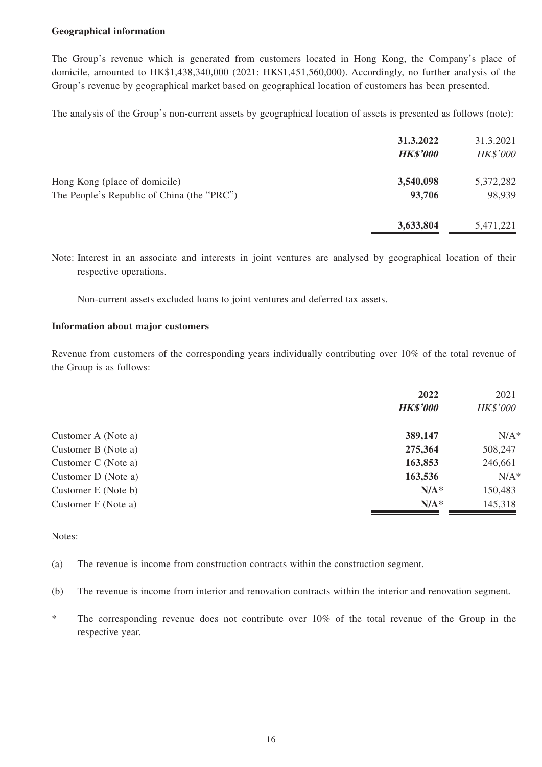#### **Geographical information**

The Group's revenue which is generated from customers located in Hong Kong, the Company's place of domicile, amounted to HK\$1,438,340,000 (2021: HK\$1,451,560,000). Accordingly, no further analysis of the Group's revenue by geographical market based on geographical location of customers has been presented.

The analysis of the Group's non-current assets by geographical location of assets is presented as follows (note):

|                                            | 31.3.2022<br><b>HK\$'000</b> | 31.3.2021<br><b>HK\$'000</b> |
|--------------------------------------------|------------------------------|------------------------------|
| Hong Kong (place of domicile)              | 3,540,098                    | 5,372,282                    |
| The People's Republic of China (the "PRC") | 93,706                       | 98,939                       |
|                                            | 3,633,804                    | 5,471,221                    |

Note: Interest in an associate and interests in joint ventures are analysed by geographical location of their respective operations.

Non-current assets excluded loans to joint ventures and deferred tax assets.

#### **Information about major customers**

Revenue from customers of the corresponding years individually contributing over 10% of the total revenue of the Group is as follows:

|                     | 2022            | 2021            |
|---------------------|-----------------|-----------------|
|                     | <b>HK\$'000</b> | <b>HK\$'000</b> |
| Customer A (Note a) | 389,147         | $N/A^*$         |
| Customer B (Note a) | 275,364         | 508,247         |
| Customer C (Note a) | 163,853         | 246,661         |
| Customer D (Note a) | 163,536         | $N/A^*$         |
| Customer E (Note b) | $N/A^*$         | 150,483         |
| Customer F (Note a) | $N/A^*$         | 145,318         |

Notes:

- (a) The revenue is income from construction contracts within the construction segment.
- (b) The revenue is income from interior and renovation contracts within the interior and renovation segment.
- \* The corresponding revenue does not contribute over 10% of the total revenue of the Group in the respective year.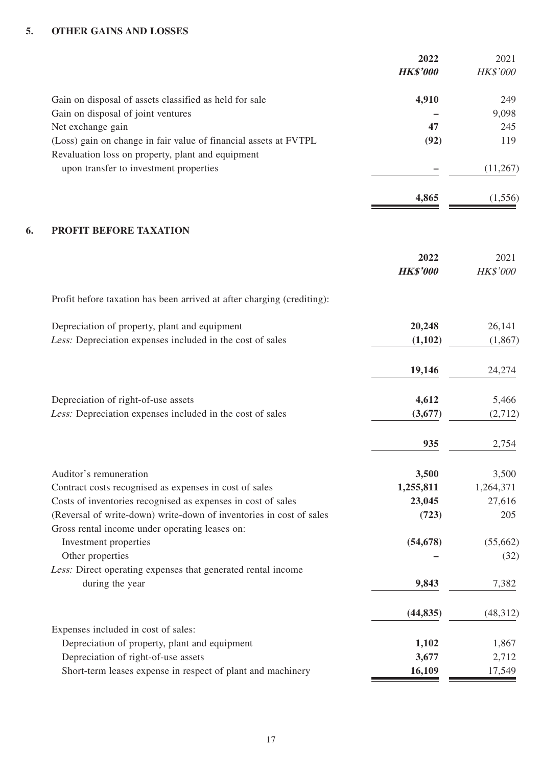#### **5. OTHER GAINS AND LOSSES**

|    |                                                                                                                       | 2022<br><b>HK\$'000</b> | 2021<br>HK\$'000 |
|----|-----------------------------------------------------------------------------------------------------------------------|-------------------------|------------------|
|    | Gain on disposal of assets classified as held for sale                                                                | 4,910                   | 249              |
|    | Gain on disposal of joint ventures                                                                                    |                         | 9,098            |
|    | Net exchange gain                                                                                                     | 47                      | 245              |
|    | (Loss) gain on change in fair value of financial assets at FVTPL                                                      | (92)                    | 119              |
|    | Revaluation loss on property, plant and equipment                                                                     |                         |                  |
|    | upon transfer to investment properties                                                                                |                         | (11,267)         |
|    |                                                                                                                       | 4,865                   | (1,556)          |
| 6. | <b>PROFIT BEFORE TAXATION</b>                                                                                         |                         |                  |
|    |                                                                                                                       | 2022                    | 2021             |
|    |                                                                                                                       | <b>HK\$'000</b>         | <b>HK\$'000</b>  |
|    | Profit before taxation has been arrived at after charging (crediting):                                                |                         |                  |
|    | Depreciation of property, plant and equipment                                                                         | 20,248                  | 26,141           |
|    | Less: Depreciation expenses included in the cost of sales                                                             | (1,102)                 | (1,867)          |
|    |                                                                                                                       | 19,146                  | 24,274           |
|    | Depreciation of right-of-use assets                                                                                   | 4,612                   | 5,466            |
|    | Less: Depreciation expenses included in the cost of sales                                                             | (3,677)                 | (2,712)          |
|    |                                                                                                                       | 935                     | 2,754            |
|    | Auditor's remuneration                                                                                                | 3,500                   | 3,500            |
|    | Contract costs recognised as expenses in cost of sales                                                                | 1,255,811               | 1,264,371        |
|    | Costs of inventories recognised as expenses in cost of sales                                                          | 23,045                  | 27,616           |
|    | (Reversal of write-down) write-down of inventories in cost of sales<br>Gross rental income under operating leases on: | (723)                   | 205              |
|    | Investment properties                                                                                                 | (54, 678)               | (55,662)         |
|    | Other properties                                                                                                      |                         | (32)             |
|    | Less: Direct operating expenses that generated rental income                                                          |                         |                  |
|    | during the year                                                                                                       | 9,843                   | 7,382            |
|    |                                                                                                                       | (44, 835)               | (48,312)         |
|    | Expenses included in cost of sales:                                                                                   |                         |                  |
|    | Depreciation of property, plant and equipment                                                                         | 1,102                   | 1,867            |
|    | Depreciation of right-of-use assets                                                                                   | 3,677                   | 2,712            |
|    | Short-term leases expense in respect of plant and machinery                                                           | 16,109                  | 17,549           |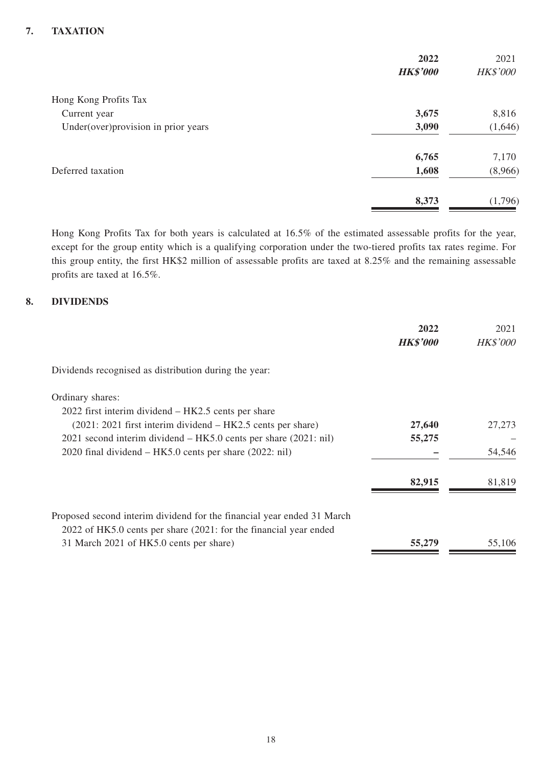## **7. TAXATION**

|                                     | 2022            | 2021            |
|-------------------------------------|-----------------|-----------------|
|                                     | <b>HK\$'000</b> | <b>HK\$'000</b> |
| Hong Kong Profits Tax               |                 |                 |
| Current year                        | 3,675           | 8,816           |
| Under(over)provision in prior years | 3,090           | (1,646)         |
|                                     | 6,765           | 7,170           |
| Deferred taxation                   | 1,608           | (8,966)         |
|                                     | 8,373           | (1,796)         |

Hong Kong Profits Tax for both years is calculated at 16.5% of the estimated assessable profits for the year, except for the group entity which is a qualifying corporation under the two-tiered profits tax rates regime. For this group entity, the first HK\$2 million of assessable profits are taxed at 8.25% and the remaining assessable profits are taxed at 16.5%.

#### **8. DIVIDENDS**

|                                                                        | 2022<br><b>HK\$'000</b> | 2021<br><b>HK\$'000</b> |
|------------------------------------------------------------------------|-------------------------|-------------------------|
| Dividends recognised as distribution during the year:                  |                         |                         |
| Ordinary shares:                                                       |                         |                         |
| 2022 first interim dividend – HK2.5 cents per share                    |                         |                         |
| $(2021: 2021$ first interim dividend $-HK2.5$ cents per share)         | 27,640                  | 27,273                  |
| 2021 second interim dividend – HK5.0 cents per share (2021: nil)       | 55,275                  |                         |
| 2020 final dividend – HK5.0 cents per share (2022: nil)                |                         | 54,546                  |
|                                                                        | 82,915                  | 81,819                  |
| Proposed second interim dividend for the financial year ended 31 March |                         |                         |
| 2022 of HK5.0 cents per share (2021: for the financial year ended      |                         |                         |
| 31 March 2021 of HK5.0 cents per share)                                | 55,279                  | 55,106                  |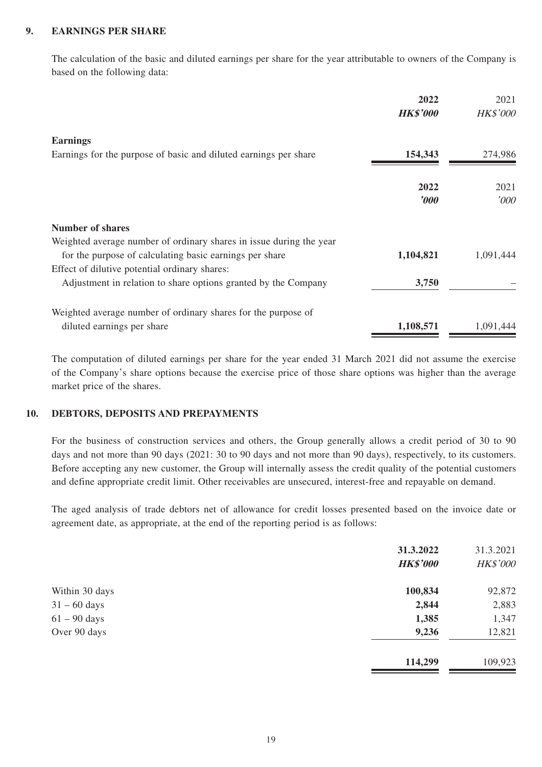#### **9. EARNINGS PER SHARE**

The calculation of the basic and diluted earnings per share for the year attributable to owners of the Company is based on the following data:

|                                                                     | 2022<br><b>HK\$'000</b> | 2021<br><b>HK\$'000</b> |
|---------------------------------------------------------------------|-------------------------|-------------------------|
| <b>Earnings</b>                                                     |                         |                         |
| Earnings for the purpose of basic and diluted earnings per share    | 154,343                 | 274,986                 |
|                                                                     | 2022                    | 2021                    |
|                                                                     | $\boldsymbol{v}$        | '000                    |
| <b>Number of shares</b>                                             |                         |                         |
| Weighted average number of ordinary shares in issue during the year |                         |                         |
| for the purpose of calculating basic earnings per share             | 1,104,821               | 1,091,444               |
| Effect of dilutive potential ordinary shares:                       |                         |                         |
| Adjustment in relation to share options granted by the Company      | 3,750                   |                         |
| Weighted average number of ordinary shares for the purpose of       |                         |                         |
| diluted earnings per share                                          | 1,108,571               | 1,091,444               |

The computation of diluted earnings per share for the year ended 31 March 2021 did not assume the exercise of the Company's share options because the exercise price of those share options was higher than the average market price of the shares.

#### **10. DEBTORS, DEPOSITS AND PREPAYMENTS**

For the business of construction services and others, the Group generally allows a credit period of 30 to 90 days and not more than 90 days (2021: 30 to 90 days and not more than 90 days), respectively, to its customers. Before accepting any new customer, the Group will internally assess the credit quality of the potential customers and define appropriate credit limit. Other receivables are unsecured, interest-free and repayable on demand.

The aged analysis of trade debtors net of allowance for credit losses presented based on the invoice date or agreement date, as appropriate, at the end of the reporting period is as follows:

|                | 31.3.2022<br><b>HK\$'000</b> | 31.3.2021<br>HK\$'000 |
|----------------|------------------------------|-----------------------|
| Within 30 days | 100,834                      | 92,872                |
| $31 - 60$ days | 2,844                        | 2,883                 |
| $61 - 90$ days | 1,385                        | 1,347                 |
| Over 90 days   | 9,236                        | 12,821                |
|                | 114,299                      | 109,923               |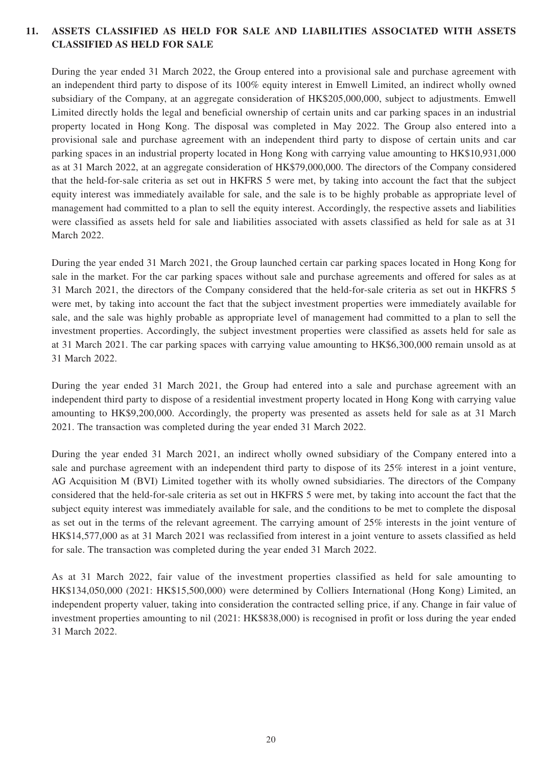#### **11. ASSETS CLASSIFIED AS HELD FOR SALE AND LIABILITIES ASSOCIATED WITH ASSETS CLASSIFIED AS HELD FOR SALE**

During the year ended 31 March 2022, the Group entered into a provisional sale and purchase agreement with an independent third party to dispose of its 100% equity interest in Emwell Limited, an indirect wholly owned subsidiary of the Company, at an aggregate consideration of HK\$205,000,000, subject to adjustments. Emwell Limited directly holds the legal and beneficial ownership of certain units and car parking spaces in an industrial property located in Hong Kong. The disposal was completed in May 2022. The Group also entered into a provisional sale and purchase agreement with an independent third party to dispose of certain units and car parking spaces in an industrial property located in Hong Kong with carrying value amounting to HK\$10,931,000 as at 31 March 2022, at an aggregate consideration of HK\$79,000,000. The directors of the Company considered that the held-for-sale criteria as set out in HKFRS 5 were met, by taking into account the fact that the subject equity interest was immediately available for sale, and the sale is to be highly probable as appropriate level of management had committed to a plan to sell the equity interest. Accordingly, the respective assets and liabilities were classified as assets held for sale and liabilities associated with assets classified as held for sale as at 31 March 2022.

During the year ended 31 March 2021, the Group launched certain car parking spaces located in Hong Kong for sale in the market. For the car parking spaces without sale and purchase agreements and offered for sales as at 31 March 2021, the directors of the Company considered that the held-for-sale criteria as set out in HKFRS 5 were met, by taking into account the fact that the subject investment properties were immediately available for sale, and the sale was highly probable as appropriate level of management had committed to a plan to sell the investment properties. Accordingly, the subject investment properties were classified as assets held for sale as at 31 March 2021. The car parking spaces with carrying value amounting to HK\$6,300,000 remain unsold as at 31 March 2022.

During the year ended 31 March 2021, the Group had entered into a sale and purchase agreement with an independent third party to dispose of a residential investment property located in Hong Kong with carrying value amounting to HK\$9,200,000. Accordingly, the property was presented as assets held for sale as at 31 March 2021. The transaction was completed during the year ended 31 March 2022.

During the year ended 31 March 2021, an indirect wholly owned subsidiary of the Company entered into a sale and purchase agreement with an independent third party to dispose of its 25% interest in a joint venture, AG Acquisition M (BVI) Limited together with its wholly owned subsidiaries. The directors of the Company considered that the held-for-sale criteria as set out in HKFRS 5 were met, by taking into account the fact that the subject equity interest was immediately available for sale, and the conditions to be met to complete the disposal as set out in the terms of the relevant agreement. The carrying amount of 25% interests in the joint venture of HK\$14,577,000 as at 31 March 2021 was reclassified from interest in a joint venture to assets classified as held for sale. The transaction was completed during the year ended 31 March 2022.

As at 31 March 2022, fair value of the investment properties classified as held for sale amounting to HK\$134,050,000 (2021: HK\$15,500,000) were determined by Colliers International (Hong Kong) Limited, an independent property valuer, taking into consideration the contracted selling price, if any. Change in fair value of investment properties amounting to nil (2021: HK\$838,000) is recognised in profit or loss during the year ended 31 March 2022.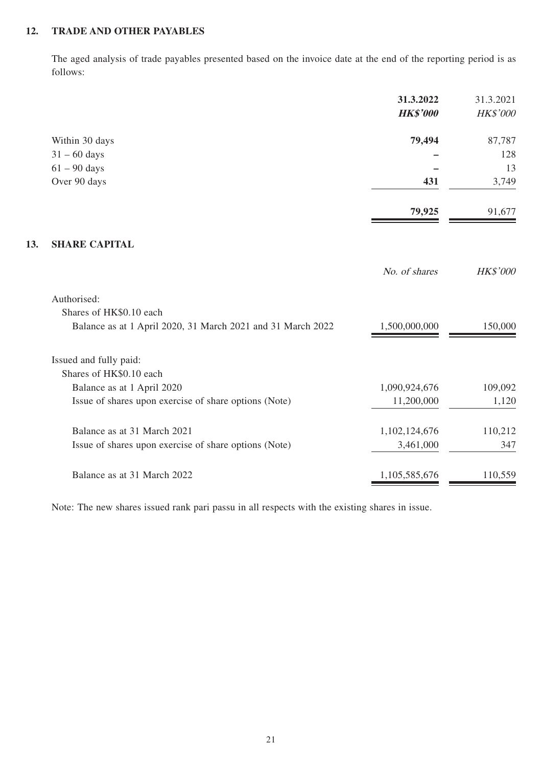#### **12. TRADE AND OTHER PAYABLES**

**13.** 

The aged analysis of trade payables presented based on the invoice date at the end of the reporting period is as follows:

|                                                             | 31.3.2022       | 31.3.2021       |
|-------------------------------------------------------------|-----------------|-----------------|
|                                                             | <b>HK\$'000</b> | HK\$'000        |
| Within 30 days                                              | 79,494          | 87,787          |
| $31 - 60$ days                                              |                 | 128             |
| $61 - 90$ days                                              |                 | 13              |
| Over 90 days                                                | 431             | 3,749           |
|                                                             | 79,925          | 91,677          |
| <b>SHARE CAPITAL</b>                                        |                 |                 |
|                                                             | No. of shares   | <b>HK\$'000</b> |
| Authorised:                                                 |                 |                 |
| Shares of HK\$0.10 each                                     |                 |                 |
| Balance as at 1 April 2020, 31 March 2021 and 31 March 2022 | 1,500,000,000   | 150,000         |
| Issued and fully paid:                                      |                 |                 |
| Shares of HK\$0.10 each                                     |                 |                 |
| Balance as at 1 April 2020                                  | 1,090,924,676   | 109,092         |
| Issue of shares upon exercise of share options (Note)       | 11,200,000      | 1,120           |
| Balance as at 31 March 2021                                 | 1,102,124,676   | 110,212         |
| Issue of shares upon exercise of share options (Note)       | 3,461,000       | 347             |
| Balance as at 31 March 2022                                 | 1,105,585,676   | 110,559         |

Note: The new shares issued rank pari passu in all respects with the existing shares in issue.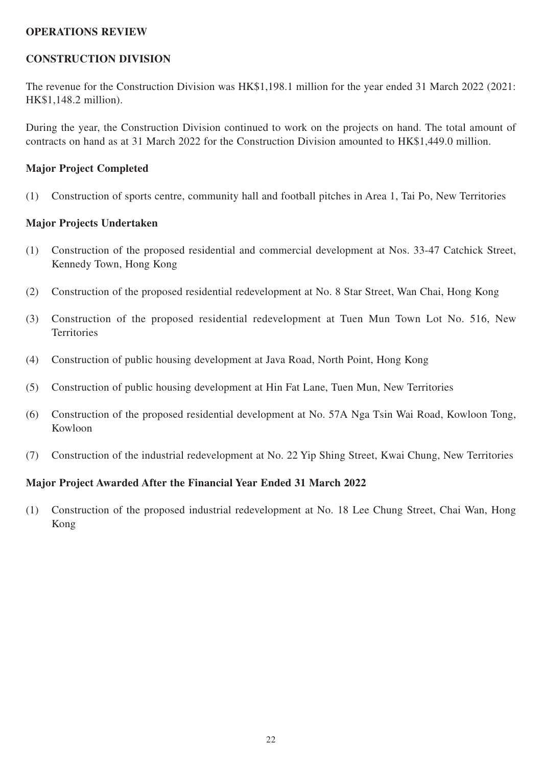#### **OPERATIONS REVIEW**

### **CONSTRUCTION DIVISION**

The revenue for the Construction Division was HK\$1,198.1 million for the year ended 31 March 2022 (2021: HK\$1,148.2 million).

During the year, the Construction Division continued to work on the projects on hand. The total amount of contracts on hand as at 31 March 2022 for the Construction Division amounted to HK\$1,449.0 million.

#### **Major Project Completed**

(1) Construction of sports centre, community hall and football pitches in Area 1, Tai Po, New Territories

#### **Major Projects Undertaken**

- (1) Construction of the proposed residential and commercial development at Nos. 33-47 Catchick Street, Kennedy Town, Hong Kong
- (2) Construction of the proposed residential redevelopment at No. 8 Star Street, Wan Chai, Hong Kong
- (3) Construction of the proposed residential redevelopment at Tuen Mun Town Lot No. 516, New **Territories**
- (4) Construction of public housing development at Java Road, North Point, Hong Kong
- (5) Construction of public housing development at Hin Fat Lane, Tuen Mun, New Territories
- (6) Construction of the proposed residential development at No. 57A Nga Tsin Wai Road, Kowloon Tong, Kowloon
- (7) Construction of the industrial redevelopment at No. 22 Yip Shing Street, Kwai Chung, New Territories

## **Major Project Awarded After the Financial Year Ended 31 March 2022**

(1) Construction of the proposed industrial redevelopment at No. 18 Lee Chung Street, Chai Wan, Hong Kong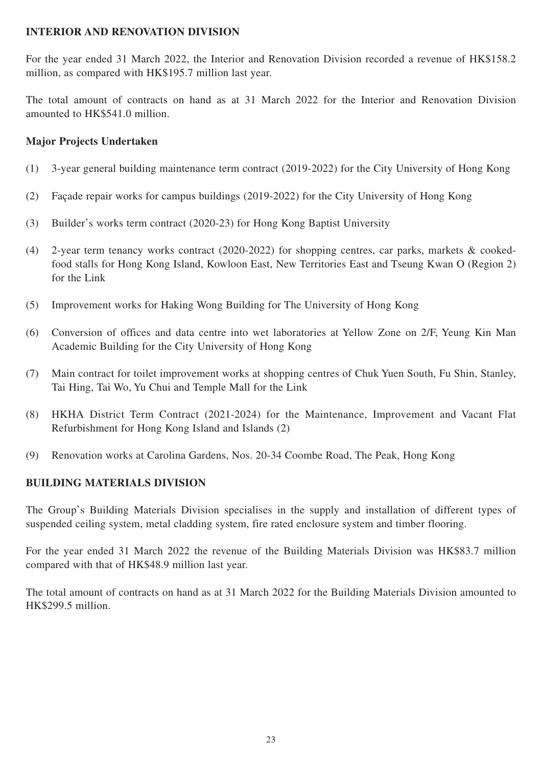## **INTERIOR AND RENOVATION DIVISION**

For the year ended 31 March 2022, the Interior and Renovation Division recorded a revenue of HK\$158.2 million, as compared with HK\$195.7 million last year.

The total amount of contracts on hand as at 31 March 2022 for the Interior and Renovation Division amounted to HK\$541.0 million.

## **Major Projects Undertaken**

- (1) 3-year general building maintenance term contract (2019-2022) for the City University of Hong Kong
- (2) Façade repair works for campus buildings (2019-2022) for the City University of Hong Kong
- (3) Builder's works term contract (2020-23) for Hong Kong Baptist University
- (4) 2-year term tenancy works contract (2020-2022) for shopping centres, car parks, markets & cookedfood stalls for Hong Kong Island, Kowloon East, New Territories East and Tseung Kwan O (Region 2) for the Link
- (5) Improvement works for Haking Wong Building for The University of Hong Kong
- (6) Conversion of offices and data centre into wet laboratories at Yellow Zone on 2/F, Yeung Kin Man Academic Building for the City University of Hong Kong
- (7) Main contract for toilet improvement works at shopping centres of Chuk Yuen South, Fu Shin, Stanley, Tai Hing, Tai Wo, Yu Chui and Temple Mall for the Link
- (8) HKHA District Term Contract (2021-2024) for the Maintenance, Improvement and Vacant Flat Refurbishment for Hong Kong Island and Islands (2)
- (9) Renovation works at Carolina Gardens, Nos. 20-34 Coombe Road, The Peak, Hong Kong

## **BUILDING MATERIALS DIVISION**

The Group's Building Materials Division specialises in the supply and installation of different types of suspended ceiling system, metal cladding system, fire rated enclosure system and timber flooring.

For the year ended 31 March 2022 the revenue of the Building Materials Division was HK\$83.7 million compared with that of HK\$48.9 million last year.

The total amount of contracts on hand as at 31 March 2022 for the Building Materials Division amounted to HK\$299.5 million.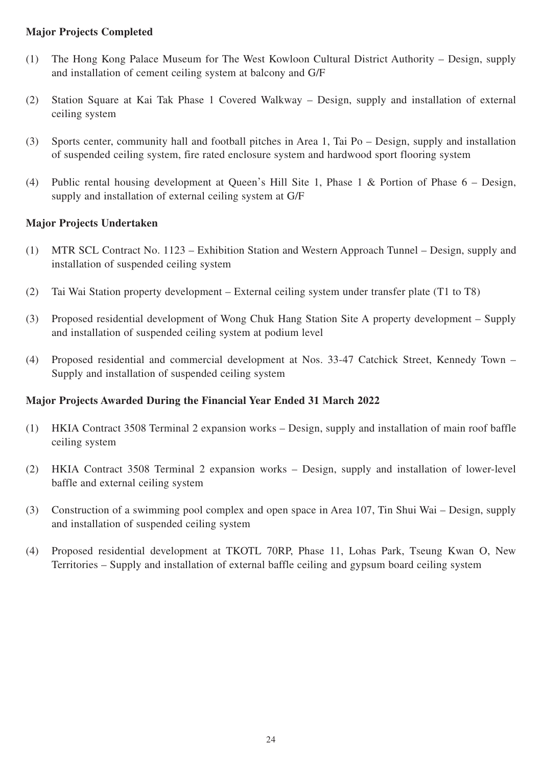## **Major Projects Completed**

- (1) The Hong Kong Palace Museum for The West Kowloon Cultural District Authority Design, supply and installation of cement ceiling system at balcony and G/F
- (2) Station Square at Kai Tak Phase 1 Covered Walkway Design, supply and installation of external ceiling system
- (3) Sports center, community hall and football pitches in Area 1, Tai Po Design, supply and installation of suspended ceiling system, fire rated enclosure system and hardwood sport flooring system
- (4) Public rental housing development at Queen's Hill Site 1, Phase 1 & Portion of Phase 6 Design, supply and installation of external ceiling system at G/F

## **Major Projects Undertaken**

- (1) MTR SCL Contract No. 1123 Exhibition Station and Western Approach Tunnel Design, supply and installation of suspended ceiling system
- (2) Tai Wai Station property development External ceiling system under transfer plate (T1 to T8)
- (3) Proposed residential development of Wong Chuk Hang Station Site A property development Supply and installation of suspended ceiling system at podium level
- (4) Proposed residential and commercial development at Nos. 33-47 Catchick Street, Kennedy Town Supply and installation of suspended ceiling system

## **Major Projects Awarded During the Financial Year Ended 31 March 2022**

- (1) HKIA Contract 3508 Terminal 2 expansion works Design, supply and installation of main roof baffle ceiling system
- (2) HKIA Contract 3508 Terminal 2 expansion works Design, supply and installation of lower-level baffle and external ceiling system
- (3) Construction of a swimming pool complex and open space in Area 107, Tin Shui Wai Design, supply and installation of suspended ceiling system
- (4) Proposed residential development at TKOTL 70RP, Phase 11, Lohas Park, Tseung Kwan O, New Territories – Supply and installation of external baffle ceiling and gypsum board ceiling system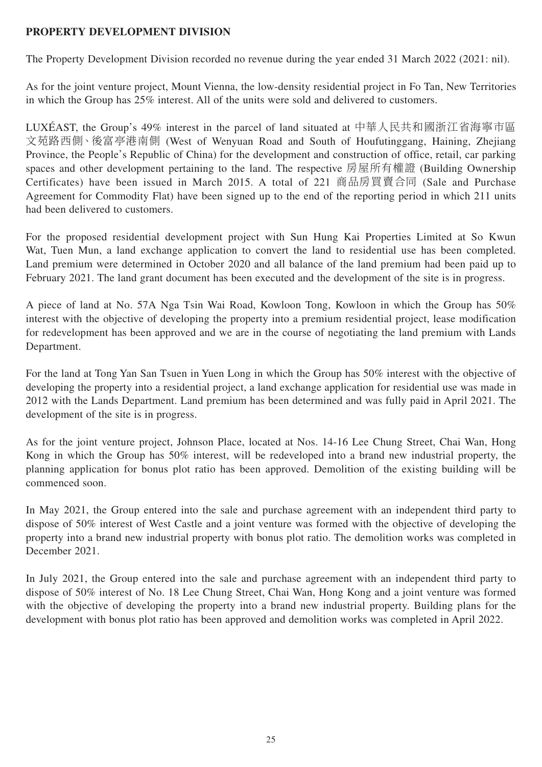## **PROPERTY DEVELOPMENT DIVISION**

The Property Development Division recorded no revenue during the year ended 31 March 2022 (2021: nil).

As for the joint venture project, Mount Vienna, the low-density residential project in Fo Tan, New Territories in which the Group has 25% interest. All of the units were sold and delivered to customers.

LUXÉAST, the Group's 49% interest in the parcel of land situated at 中華人民共和國浙江省海寧市區 文苑路西側、後富亭港南側 (West of Wenyuan Road and South of Houfutinggang, Haining, Zhejiang Province, the People's Republic of China) for the development and construction of office, retail, car parking spaces and other development pertaining to the land. The respective 房屋所有權證 (Building Ownership Certificates) have been issued in March 2015. A total of 221 商品房買賣合同 (Sale and Purchase Agreement for Commodity Flat) have been signed up to the end of the reporting period in which 211 units had been delivered to customers.

For the proposed residential development project with Sun Hung Kai Properties Limited at So Kwun Wat, Tuen Mun, a land exchange application to convert the land to residential use has been completed. Land premium were determined in October 2020 and all balance of the land premium had been paid up to February 2021. The land grant document has been executed and the development of the site is in progress.

A piece of land at No. 57A Nga Tsin Wai Road, Kowloon Tong, Kowloon in which the Group has 50% interest with the objective of developing the property into a premium residential project, lease modification for redevelopment has been approved and we are in the course of negotiating the land premium with Lands Department.

For the land at Tong Yan San Tsuen in Yuen Long in which the Group has 50% interest with the objective of developing the property into a residential project, a land exchange application for residential use was made in 2012 with the Lands Department. Land premium has been determined and was fully paid in April 2021. The development of the site is in progress.

As for the joint venture project, Johnson Place, located at Nos. 14-16 Lee Chung Street, Chai Wan, Hong Kong in which the Group has 50% interest, will be redeveloped into a brand new industrial property, the planning application for bonus plot ratio has been approved. Demolition of the existing building will be commenced soon.

In May 2021, the Group entered into the sale and purchase agreement with an independent third party to dispose of 50% interest of West Castle and a joint venture was formed with the objective of developing the property into a brand new industrial property with bonus plot ratio. The demolition works was completed in December 2021.

In July 2021, the Group entered into the sale and purchase agreement with an independent third party to dispose of 50% interest of No. 18 Lee Chung Street, Chai Wan, Hong Kong and a joint venture was formed with the objective of developing the property into a brand new industrial property. Building plans for the development with bonus plot ratio has been approved and demolition works was completed in April 2022.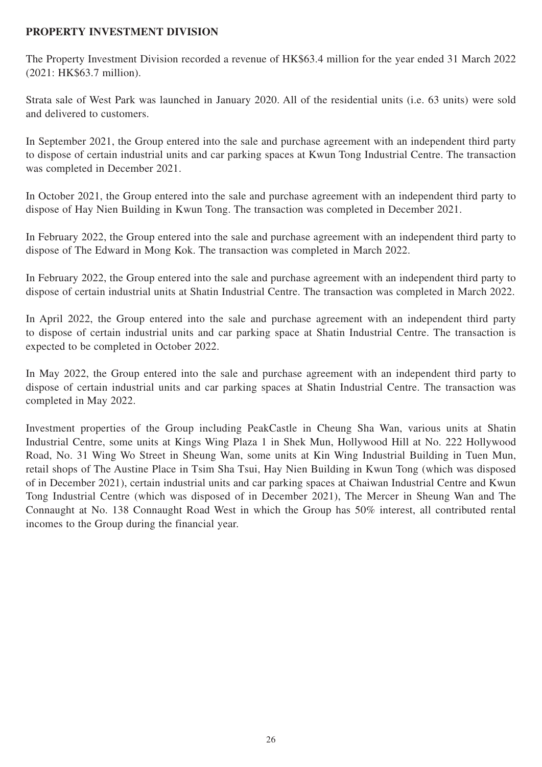## **PROPERTY INVESTMENT DIVISION**

The Property Investment Division recorded a revenue of HK\$63.4 million for the year ended 31 March 2022 (2021: HK\$63.7 million).

Strata sale of West Park was launched in January 2020. All of the residential units (i.e. 63 units) were sold and delivered to customers.

In September 2021, the Group entered into the sale and purchase agreement with an independent third party to dispose of certain industrial units and car parking spaces at Kwun Tong Industrial Centre. The transaction was completed in December 2021.

In October 2021, the Group entered into the sale and purchase agreement with an independent third party to dispose of Hay Nien Building in Kwun Tong. The transaction was completed in December 2021.

In February 2022, the Group entered into the sale and purchase agreement with an independent third party to dispose of The Edward in Mong Kok. The transaction was completed in March 2022.

In February 2022, the Group entered into the sale and purchase agreement with an independent third party to dispose of certain industrial units at Shatin Industrial Centre. The transaction was completed in March 2022.

In April 2022, the Group entered into the sale and purchase agreement with an independent third party to dispose of certain industrial units and car parking space at Shatin Industrial Centre. The transaction is expected to be completed in October 2022.

In May 2022, the Group entered into the sale and purchase agreement with an independent third party to dispose of certain industrial units and car parking spaces at Shatin Industrial Centre. The transaction was completed in May 2022.

Investment properties of the Group including PeakCastle in Cheung Sha Wan, various units at Shatin Industrial Centre, some units at Kings Wing Plaza 1 in Shek Mun, Hollywood Hill at No. 222 Hollywood Road, No. 31 Wing Wo Street in Sheung Wan, some units at Kin Wing Industrial Building in Tuen Mun, retail shops of The Austine Place in Tsim Sha Tsui, Hay Nien Building in Kwun Tong (which was disposed of in December 2021), certain industrial units and car parking spaces at Chaiwan Industrial Centre and Kwun Tong Industrial Centre (which was disposed of in December 2021), The Mercer in Sheung Wan and The Connaught at No. 138 Connaught Road West in which the Group has 50% interest, all contributed rental incomes to the Group during the financial year.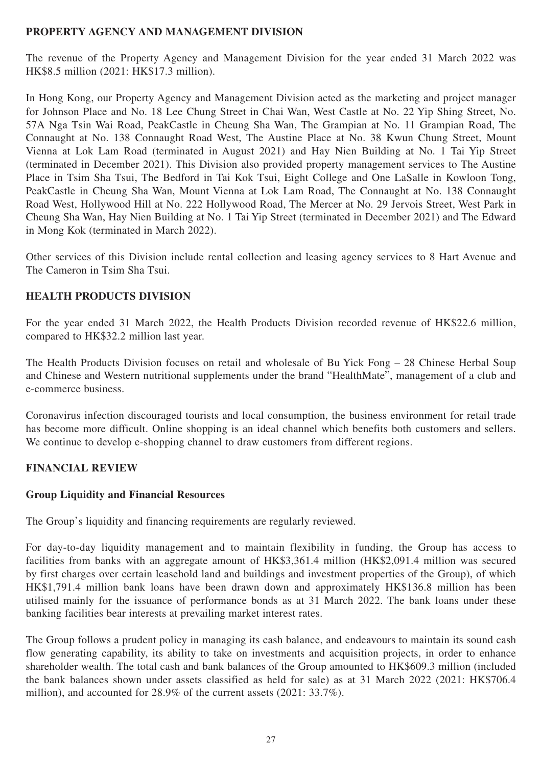## **PROPERTY AGENCY AND MANAGEMENT DIVISION**

The revenue of the Property Agency and Management Division for the year ended 31 March 2022 was HK\$8.5 million (2021: HK\$17.3 million).

In Hong Kong, our Property Agency and Management Division acted as the marketing and project manager for Johnson Place and No. 18 Lee Chung Street in Chai Wan, West Castle at No. 22 Yip Shing Street, No. 57A Nga Tsin Wai Road, PeakCastle in Cheung Sha Wan, The Grampian at No. 11 Grampian Road, The Connaught at No. 138 Connaught Road West, The Austine Place at No. 38 Kwun Chung Street, Mount Vienna at Lok Lam Road (terminated in August 2021) and Hay Nien Building at No. 1 Tai Yip Street (terminated in December 2021). This Division also provided property management services to The Austine Place in Tsim Sha Tsui, The Bedford in Tai Kok Tsui, Eight College and One LaSalle in Kowloon Tong, PeakCastle in Cheung Sha Wan, Mount Vienna at Lok Lam Road, The Connaught at No. 138 Connaught Road West, Hollywood Hill at No. 222 Hollywood Road, The Mercer at No. 29 Jervois Street, West Park in Cheung Sha Wan, Hay Nien Building at No. 1 Tai Yip Street (terminated in December 2021) and The Edward in Mong Kok (terminated in March 2022).

Other services of this Division include rental collection and leasing agency services to 8 Hart Avenue and The Cameron in Tsim Sha Tsui.

## **HEALTH PRODUCTS DIVISION**

For the year ended 31 March 2022, the Health Products Division recorded revenue of HK\$22.6 million, compared to HK\$32.2 million last year.

The Health Products Division focuses on retail and wholesale of Bu Yick Fong – 28 Chinese Herbal Soup and Chinese and Western nutritional supplements under the brand "HealthMate", management of a club and e-commerce business.

Coronavirus infection discouraged tourists and local consumption, the business environment for retail trade has become more difficult. Online shopping is an ideal channel which benefits both customers and sellers. We continue to develop e-shopping channel to draw customers from different regions.

## **FINANCIAL REVIEW**

## **Group Liquidity and Financial Resources**

The Group's liquidity and financing requirements are regularly reviewed.

For day-to-day liquidity management and to maintain flexibility in funding, the Group has access to facilities from banks with an aggregate amount of HK\$3,361.4 million (HK\$2,091.4 million was secured by first charges over certain leasehold land and buildings and investment properties of the Group), of which HK\$1,791.4 million bank loans have been drawn down and approximately HK\$136.8 million has been utilised mainly for the issuance of performance bonds as at 31 March 2022. The bank loans under these banking facilities bear interests at prevailing market interest rates.

The Group follows a prudent policy in managing its cash balance, and endeavours to maintain its sound cash flow generating capability, its ability to take on investments and acquisition projects, in order to enhance shareholder wealth. The total cash and bank balances of the Group amounted to HK\$609.3 million (included the bank balances shown under assets classified as held for sale) as at 31 March 2022 (2021: HK\$706.4 million), and accounted for 28.9% of the current assets (2021: 33.7%).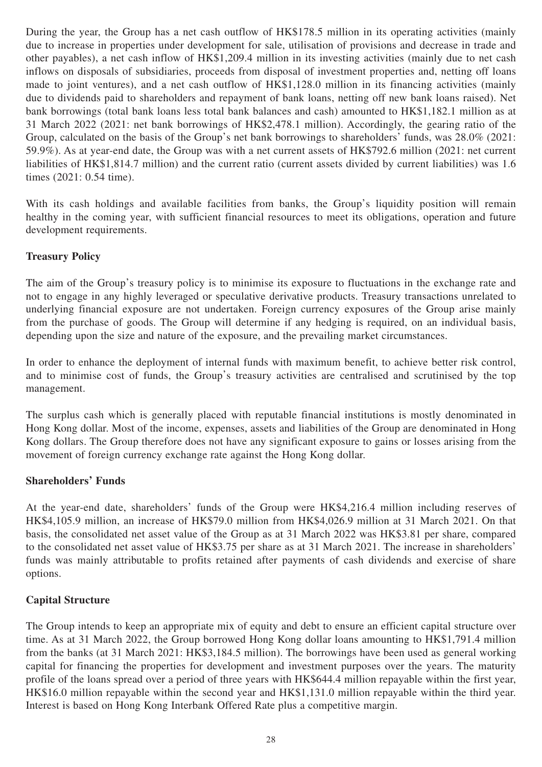During the year, the Group has a net cash outflow of HK\$178.5 million in its operating activities (mainly due to increase in properties under development for sale, utilisation of provisions and decrease in trade and other payables), a net cash inflow of HK\$1,209.4 million in its investing activities (mainly due to net cash inflows on disposals of subsidiaries, proceeds from disposal of investment properties and, netting off loans made to joint ventures), and a net cash outflow of HK\$1,128.0 million in its financing activities (mainly due to dividends paid to shareholders and repayment of bank loans, netting off new bank loans raised). Net bank borrowings (total bank loans less total bank balances and cash) amounted to HK\$1,182.1 million as at 31 March 2022 (2021: net bank borrowings of HK\$2,478.1 million). Accordingly, the gearing ratio of the Group, calculated on the basis of the Group's net bank borrowings to shareholders' funds, was 28.0% (2021: 59.9%). As at year-end date, the Group was with a net current assets of HK\$792.6 million (2021: net current liabilities of HK\$1,814.7 million) and the current ratio (current assets divided by current liabilities) was 1.6 times (2021: 0.54 time).

With its cash holdings and available facilities from banks, the Group's liquidity position will remain healthy in the coming year, with sufficient financial resources to meet its obligations, operation and future development requirements.

## **Treasury Policy**

The aim of the Group's treasury policy is to minimise its exposure to fluctuations in the exchange rate and not to engage in any highly leveraged or speculative derivative products. Treasury transactions unrelated to underlying financial exposure are not undertaken. Foreign currency exposures of the Group arise mainly from the purchase of goods. The Group will determine if any hedging is required, on an individual basis, depending upon the size and nature of the exposure, and the prevailing market circumstances.

In order to enhance the deployment of internal funds with maximum benefit, to achieve better risk control, and to minimise cost of funds, the Group's treasury activities are centralised and scrutinised by the top management.

The surplus cash which is generally placed with reputable financial institutions is mostly denominated in Hong Kong dollar. Most of the income, expenses, assets and liabilities of the Group are denominated in Hong Kong dollars. The Group therefore does not have any significant exposure to gains or losses arising from the movement of foreign currency exchange rate against the Hong Kong dollar.

## **Shareholders' Funds**

At the year-end date, shareholders' funds of the Group were HK\$4,216.4 million including reserves of HK\$4,105.9 million, an increase of HK\$79.0 million from HK\$4,026.9 million at 31 March 2021. On that basis, the consolidated net asset value of the Group as at 31 March 2022 was HK\$3.81 per share, compared to the consolidated net asset value of HK\$3.75 per share as at 31 March 2021. The increase in shareholders' funds was mainly attributable to profits retained after payments of cash dividends and exercise of share options.

## **Capital Structure**

The Group intends to keep an appropriate mix of equity and debt to ensure an efficient capital structure over time. As at 31 March 2022, the Group borrowed Hong Kong dollar loans amounting to HK\$1,791.4 million from the banks (at 31 March 2021: HK\$3,184.5 million). The borrowings have been used as general working capital for financing the properties for development and investment purposes over the years. The maturity profile of the loans spread over a period of three years with HK\$644.4 million repayable within the first year, HK\$16.0 million repayable within the second year and HK\$1,131.0 million repayable within the third year. Interest is based on Hong Kong Interbank Offered Rate plus a competitive margin.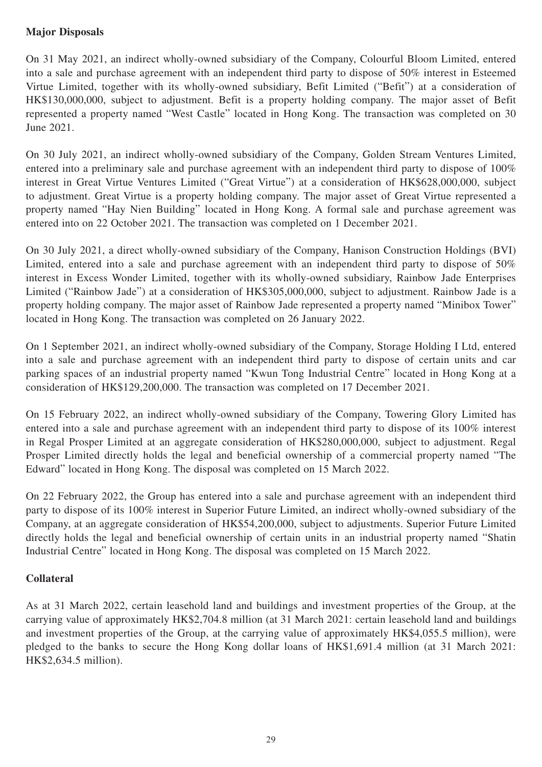## **Major Disposals**

On 31 May 2021, an indirect wholly-owned subsidiary of the Company, Colourful Bloom Limited, entered into a sale and purchase agreement with an independent third party to dispose of 50% interest in Esteemed Virtue Limited, together with its wholly-owned subsidiary, Befit Limited ("Befit") at a consideration of HK\$130,000,000, subject to adjustment. Befit is a property holding company. The major asset of Befit represented a property named "West Castle" located in Hong Kong. The transaction was completed on 30 June 2021.

On 30 July 2021, an indirect wholly-owned subsidiary of the Company, Golden Stream Ventures Limited, entered into a preliminary sale and purchase agreement with an independent third party to dispose of 100% interest in Great Virtue Ventures Limited ("Great Virtue") at a consideration of HK\$628,000,000, subject to adjustment. Great Virtue is a property holding company. The major asset of Great Virtue represented a property named "Hay Nien Building" located in Hong Kong. A formal sale and purchase agreement was entered into on 22 October 2021. The transaction was completed on 1 December 2021.

On 30 July 2021, a direct wholly-owned subsidiary of the Company, Hanison Construction Holdings (BVI) Limited, entered into a sale and purchase agreement with an independent third party to dispose of 50% interest in Excess Wonder Limited, together with its wholly-owned subsidiary, Rainbow Jade Enterprises Limited ("Rainbow Jade") at a consideration of HK\$305,000,000, subject to adjustment. Rainbow Jade is a property holding company. The major asset of Rainbow Jade represented a property named "Minibox Tower" located in Hong Kong. The transaction was completed on 26 January 2022.

On 1 September 2021, an indirect wholly-owned subsidiary of the Company, Storage Holding I Ltd, entered into a sale and purchase agreement with an independent third party to dispose of certain units and car parking spaces of an industrial property named "Kwun Tong Industrial Centre" located in Hong Kong at a consideration of HK\$129,200,000. The transaction was completed on 17 December 2021.

On 15 February 2022, an indirect wholly-owned subsidiary of the Company, Towering Glory Limited has entered into a sale and purchase agreement with an independent third party to dispose of its 100% interest in Regal Prosper Limited at an aggregate consideration of HK\$280,000,000, subject to adjustment. Regal Prosper Limited directly holds the legal and beneficial ownership of a commercial property named "The Edward" located in Hong Kong. The disposal was completed on 15 March 2022.

On 22 February 2022, the Group has entered into a sale and purchase agreement with an independent third party to dispose of its 100% interest in Superior Future Limited, an indirect wholly-owned subsidiary of the Company, at an aggregate consideration of HK\$54,200,000, subject to adjustments. Superior Future Limited directly holds the legal and beneficial ownership of certain units in an industrial property named "Shatin Industrial Centre" located in Hong Kong. The disposal was completed on 15 March 2022.

## **Collateral**

As at 31 March 2022, certain leasehold land and buildings and investment properties of the Group, at the carrying value of approximately HK\$2,704.8 million (at 31 March 2021: certain leasehold land and buildings and investment properties of the Group, at the carrying value of approximately HK\$4,055.5 million), were pledged to the banks to secure the Hong Kong dollar loans of HK\$1,691.4 million (at 31 March 2021: HK\$2,634.5 million).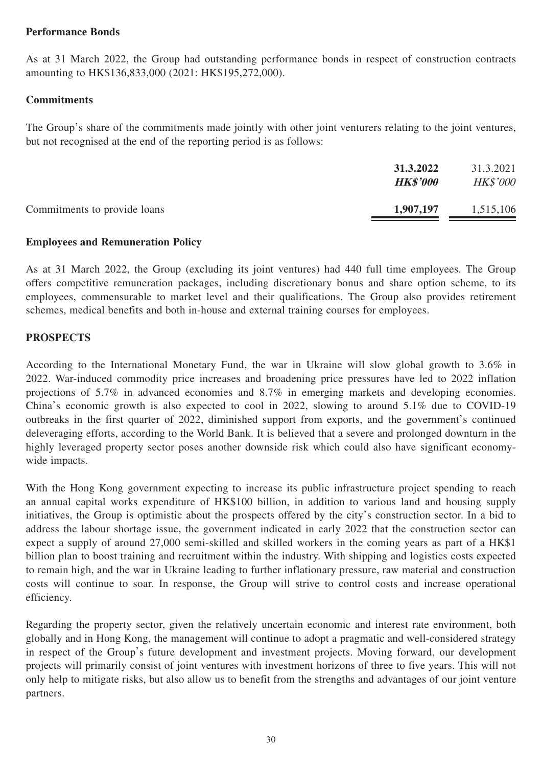## **Performance Bonds**

As at 31 March 2022, the Group had outstanding performance bonds in respect of construction contracts amounting to HK\$136,833,000 (2021: HK\$195,272,000).

## **Commitments**

The Group's share of the commitments made jointly with other joint venturers relating to the joint ventures, but not recognised at the end of the reporting period is as follows:

|                              | 31.3.2022<br><b>HK\$'000</b> | 31.3.2021<br><b>HK\$'000</b> |
|------------------------------|------------------------------|------------------------------|
| Commitments to provide loans | 1,907,197                    | 1,515,106                    |

## **Employees and Remuneration Policy**

As at 31 March 2022, the Group (excluding its joint ventures) had 440 full time employees. The Group offers competitive remuneration packages, including discretionary bonus and share option scheme, to its employees, commensurable to market level and their qualifications. The Group also provides retirement schemes, medical benefits and both in-house and external training courses for employees.

## **PROSPECTS**

According to the International Monetary Fund, the war in Ukraine will slow global growth to 3.6% in 2022. War-induced commodity price increases and broadening price pressures have led to 2022 inflation projections of 5.7% in advanced economies and 8.7% in emerging markets and developing economies. China's economic growth is also expected to cool in 2022, slowing to around 5.1% due to COVID-19 outbreaks in the first quarter of 2022, diminished support from exports, and the government's continued deleveraging efforts, according to the World Bank. It is believed that a severe and prolonged downturn in the highly leveraged property sector poses another downside risk which could also have significant economywide impacts.

With the Hong Kong government expecting to increase its public infrastructure project spending to reach an annual capital works expenditure of HK\$100 billion, in addition to various land and housing supply initiatives, the Group is optimistic about the prospects offered by the city's construction sector. In a bid to address the labour shortage issue, the government indicated in early 2022 that the construction sector can expect a supply of around 27,000 semi-skilled and skilled workers in the coming years as part of a HK\$1 billion plan to boost training and recruitment within the industry. With shipping and logistics costs expected to remain high, and the war in Ukraine leading to further inflationary pressure, raw material and construction costs will continue to soar. In response, the Group will strive to control costs and increase operational efficiency.

Regarding the property sector, given the relatively uncertain economic and interest rate environment, both globally and in Hong Kong, the management will continue to adopt a pragmatic and well-considered strategy in respect of the Group's future development and investment projects. Moving forward, our development projects will primarily consist of joint ventures with investment horizons of three to five years. This will not only help to mitigate risks, but also allow us to benefit from the strengths and advantages of our joint venture partners.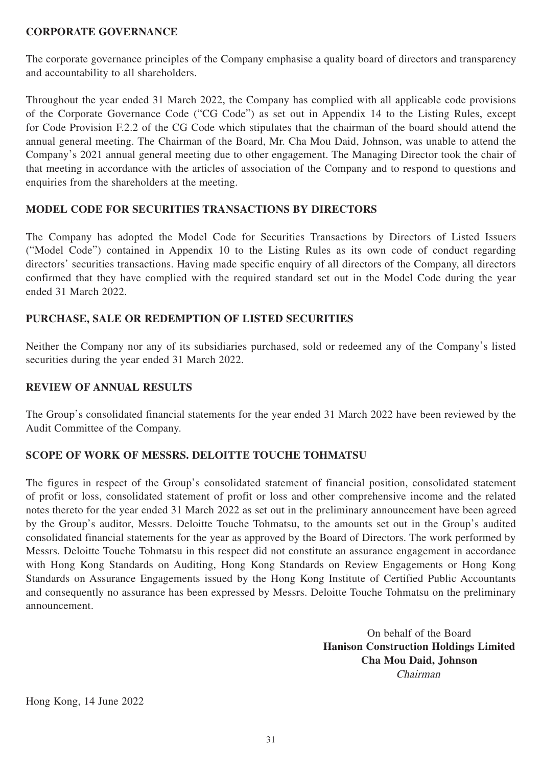## **CORPORATE GOVERNANCE**

The corporate governance principles of the Company emphasise a quality board of directors and transparency and accountability to all shareholders.

Throughout the year ended 31 March 2022, the Company has complied with all applicable code provisions of the Corporate Governance Code ("CG Code") as set out in Appendix 14 to the Listing Rules, except for Code Provision F.2.2 of the CG Code which stipulates that the chairman of the board should attend the annual general meeting. The Chairman of the Board, Mr. Cha Mou Daid, Johnson, was unable to attend the Company's 2021 annual general meeting due to other engagement. The Managing Director took the chair of that meeting in accordance with the articles of association of the Company and to respond to questions and enquiries from the shareholders at the meeting.

## **MODEL CODE FOR SECURITIES TRANSACTIONS BY DIRECTORS**

The Company has adopted the Model Code for Securities Transactions by Directors of Listed Issuers ("Model Code") contained in Appendix 10 to the Listing Rules as its own code of conduct regarding directors' securities transactions. Having made specific enquiry of all directors of the Company, all directors confirmed that they have complied with the required standard set out in the Model Code during the year ended 31 March 2022.

## **PURCHASE, SALE OR REDEMPTION OF LISTED SECURITIES**

Neither the Company nor any of its subsidiaries purchased, sold or redeemed any of the Company's listed securities during the year ended 31 March 2022.

#### **REVIEW OF ANNUAL RESULTS**

The Group's consolidated financial statements for the year ended 31 March 2022 have been reviewed by the Audit Committee of the Company.

## **SCOPE OF WORK OF MESSRS. DELOITTE TOUCHE TOHMATSU**

The figures in respect of the Group's consolidated statement of financial position, consolidated statement of profit or loss, consolidated statement of profit or loss and other comprehensive income and the related notes thereto for the year ended 31 March 2022 as set out in the preliminary announcement have been agreed by the Group's auditor, Messrs. Deloitte Touche Tohmatsu, to the amounts set out in the Group's audited consolidated financial statements for the year as approved by the Board of Directors. The work performed by Messrs. Deloitte Touche Tohmatsu in this respect did not constitute an assurance engagement in accordance with Hong Kong Standards on Auditing, Hong Kong Standards on Review Engagements or Hong Kong Standards on Assurance Engagements issued by the Hong Kong Institute of Certified Public Accountants and consequently no assurance has been expressed by Messrs. Deloitte Touche Tohmatsu on the preliminary announcement.

> On behalf of the Board **Hanison Construction Holdings Limited Cha Mou Daid, Johnson** Chairman

Hong Kong, 14 June 2022